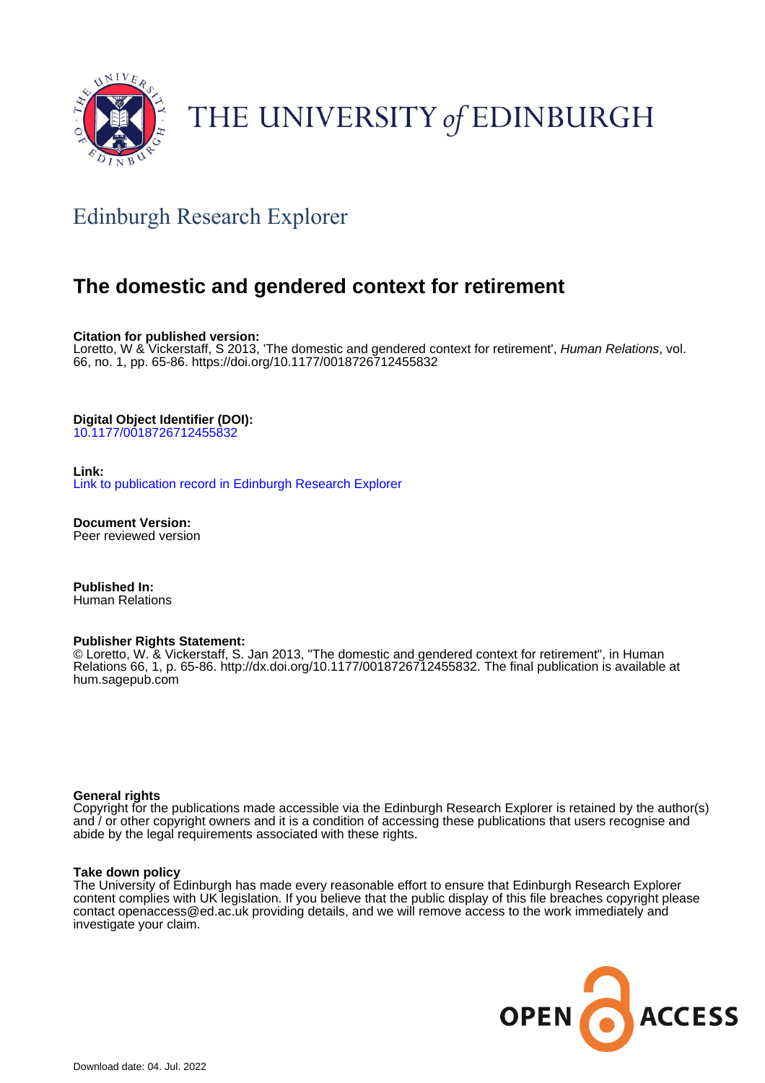

# THE UNIVERSITY of EDINBURGH

# Edinburgh Research Explorer

# **The domestic and gendered context for retirement**

**Citation for published version:**

Loretto, W & Vickerstaff, S 2013, 'The domestic and gendered context for retirement', Human Relations, vol. 66, no. 1, pp. 65-86.<https://doi.org/10.1177/0018726712455832>

#### **Digital Object Identifier (DOI):**

[10.1177/0018726712455832](https://doi.org/10.1177/0018726712455832)

#### **Link:**

[Link to publication record in Edinburgh Research Explorer](https://www.research.ed.ac.uk/en/publications/03a86a26-696a-44f6-acf9-aa7dd3d30aa6)

**Document Version:** Peer reviewed version

**Published In:** Human Relations

#### **Publisher Rights Statement:**

© Loretto, W. & Vickerstaff, S. Jan 2013, "The domestic and gendered context for retirement", in Human Relations 66, 1, p. 65-86. http://dx.doi.org/10.1177/0018726712455832. The final publication is available at hum.sagepub.com

#### **General rights**

Copyright for the publications made accessible via the Edinburgh Research Explorer is retained by the author(s) and / or other copyright owners and it is a condition of accessing these publications that users recognise and abide by the legal requirements associated with these rights.

#### **Take down policy**

The University of Edinburgh has made every reasonable effort to ensure that Edinburgh Research Explorer content complies with UK legislation. If you believe that the public display of this file breaches copyright please contact openaccess@ed.ac.uk providing details, and we will remove access to the work immediately and investigate your claim.

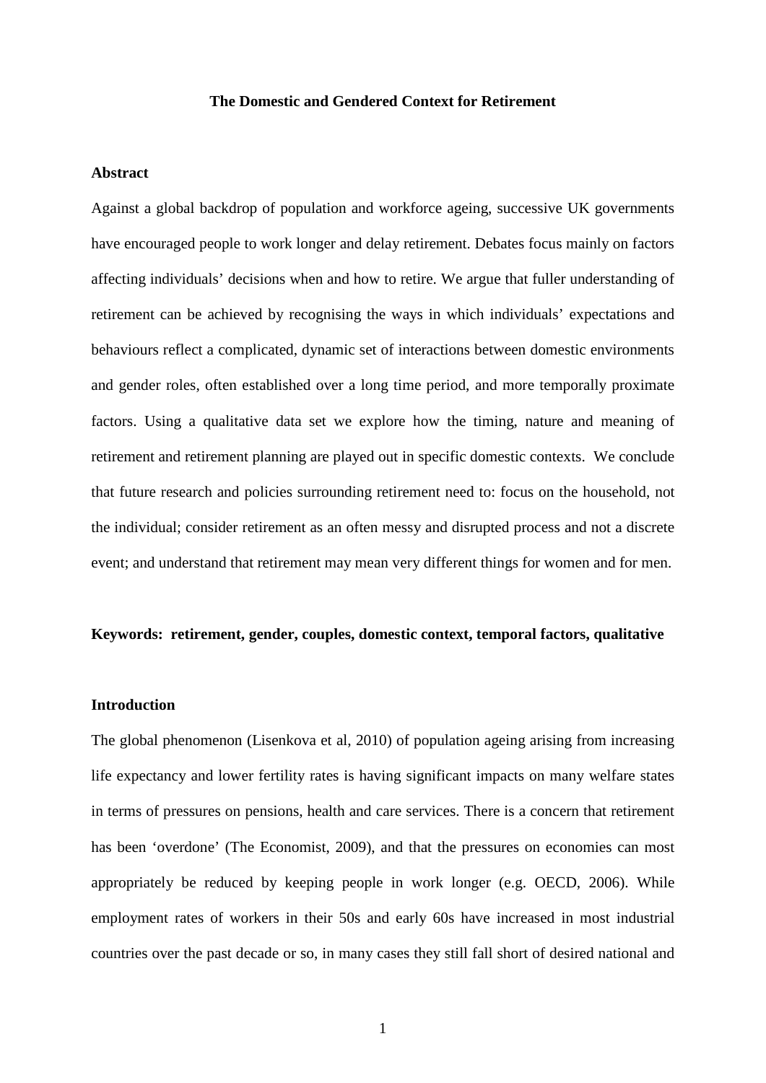#### **The Domestic and Gendered Context for Retirement**

#### **Abstract**

Against a global backdrop of population and workforce ageing, successive UK governments have encouraged people to work longer and delay retirement. Debates focus mainly on factors affecting individuals' decisions when and how to retire. We argue that fuller understanding of retirement can be achieved by recognising the ways in which individuals' expectations and behaviours reflect a complicated, dynamic set of interactions between domestic environments and gender roles, often established over a long time period, and more temporally proximate factors. Using a qualitative data set we explore how the timing, nature and meaning of retirement and retirement planning are played out in specific domestic contexts. We conclude that future research and policies surrounding retirement need to: focus on the household, not the individual; consider retirement as an often messy and disrupted process and not a discrete event; and understand that retirement may mean very different things for women and for men.

#### **Keywords: retirement, gender, couples, domestic context, temporal factors, qualitative**

#### **Introduction**

The global phenomenon (Lisenkova et al, 2010) of population ageing arising from increasing life expectancy and lower fertility rates is having significant impacts on many welfare states in terms of pressures on pensions, health and care services. There is a concern that retirement has been 'overdone' (The Economist, 2009), and that the pressures on economies can most appropriately be reduced by keeping people in work longer (e.g. OECD, 2006). While employment rates of workers in their 50s and early 60s have increased in most industrial countries over the past decade or so, in many cases they still fall short of desired national and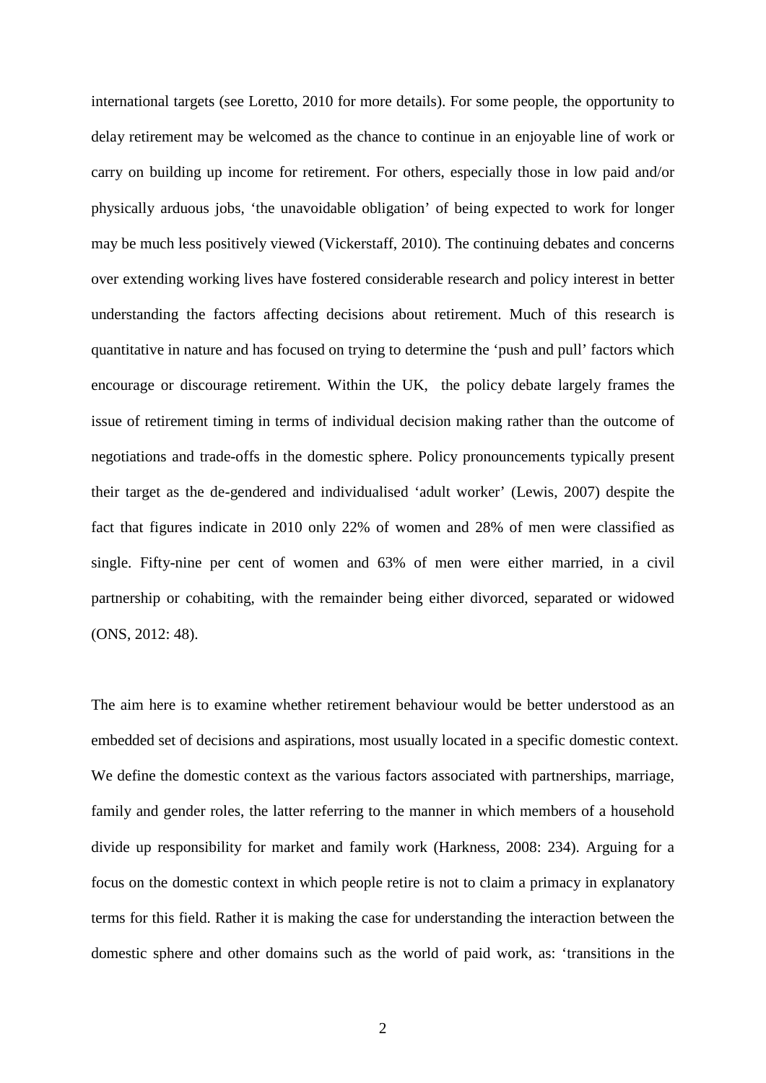international targets (see Loretto, 2010 for more details). For some people, the opportunity to delay retirement may be welcomed as the chance to continue in an enjoyable line of work or carry on building up income for retirement. For others, especially those in low paid and/or physically arduous jobs, 'the unavoidable obligation' of being expected to work for longer may be much less positively viewed (Vickerstaff, 2010). The continuing debates and concerns over extending working lives have fostered considerable research and policy interest in better understanding the factors affecting decisions about retirement. Much of this research is quantitative in nature and has focused on trying to determine the 'push and pull' factors which encourage or discourage retirement. Within the UK, the policy debate largely frames the issue of retirement timing in terms of individual decision making rather than the outcome of negotiations and trade-offs in the domestic sphere. Policy pronouncements typically present their target as the de-gendered and individualised 'adult worker' (Lewis, 2007) despite the fact that figures indicate in 2010 only 22% of women and 28% of men were classified as single. Fifty-nine per cent of women and 63% of men were either married, in a civil partnership or cohabiting, with the remainder being either divorced, separated or widowed (ONS, 2012: 48).

The aim here is to examine whether retirement behaviour would be better understood as an embedded set of decisions and aspirations, most usually located in a specific domestic context. We define the domestic context as the various factors associated with partnerships, marriage, family and gender roles, the latter referring to the manner in which members of a household divide up responsibility for market and family work (Harkness, 2008: 234). Arguing for a focus on the domestic context in which people retire is not to claim a primacy in explanatory terms for this field. Rather it is making the case for understanding the interaction between the domestic sphere and other domains such as the world of paid work, as: 'transitions in the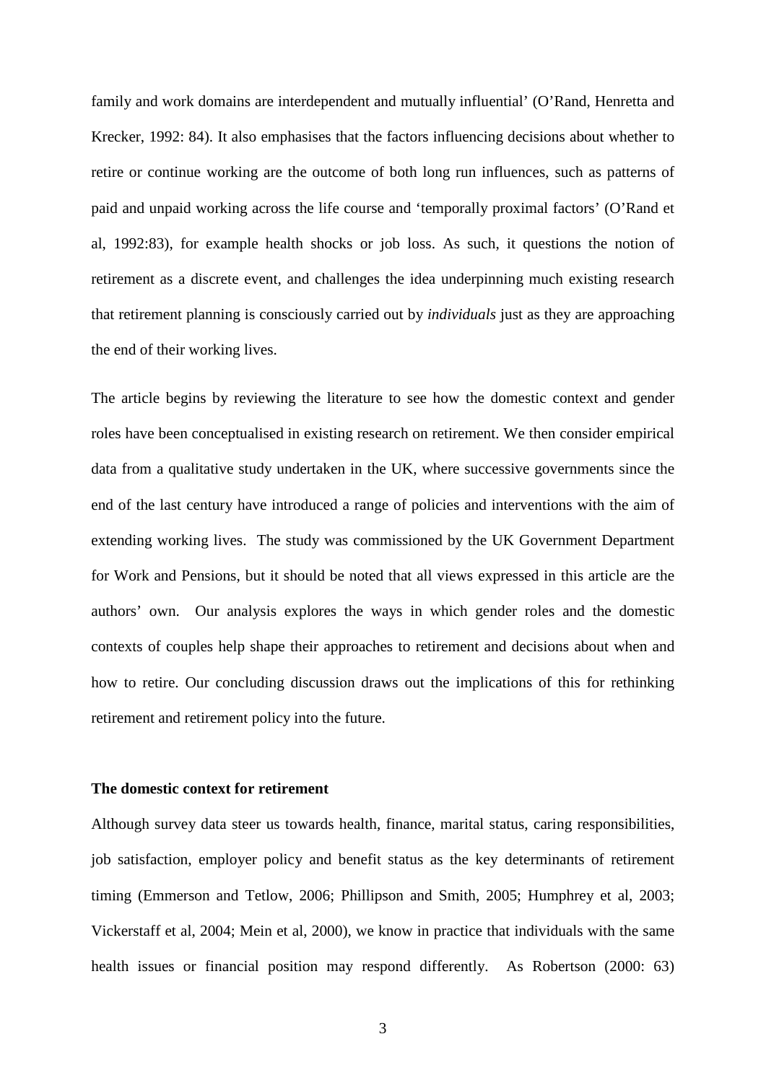family and work domains are interdependent and mutually influential' (O'Rand, Henretta and Krecker, 1992: 84). It also emphasises that the factors influencing decisions about whether to retire or continue working are the outcome of both long run influences, such as patterns of paid and unpaid working across the life course and 'temporally proximal factors' (O'Rand et al, 1992:83), for example health shocks or job loss. As such, it questions the notion of retirement as a discrete event, and challenges the idea underpinning much existing research that retirement planning is consciously carried out by *individuals* just as they are approaching the end of their working lives.

The article begins by reviewing the literature to see how the domestic context and gender roles have been conceptualised in existing research on retirement. We then consider empirical data from a qualitative study undertaken in the UK, where successive governments since the end of the last century have introduced a range of policies and interventions with the aim of extending working lives. The study was commissioned by the UK Government Department for Work and Pensions, but it should be noted that all views expressed in this article are the authors' own. Our analysis explores the ways in which gender roles and the domestic contexts of couples help shape their approaches to retirement and decisions about when and how to retire. Our concluding discussion draws out the implications of this for rethinking retirement and retirement policy into the future.

#### **The domestic context for retirement**

Although survey data steer us towards health, finance, marital status, caring responsibilities, job satisfaction, employer policy and benefit status as the key determinants of retirement timing (Emmerson and Tetlow, 2006; Phillipson and Smith, 2005; Humphrey et al, 2003; Vickerstaff et al, 2004; Mein et al, 2000), we know in practice that individuals with the same health issues or financial position may respond differently. As Robertson (2000: 63)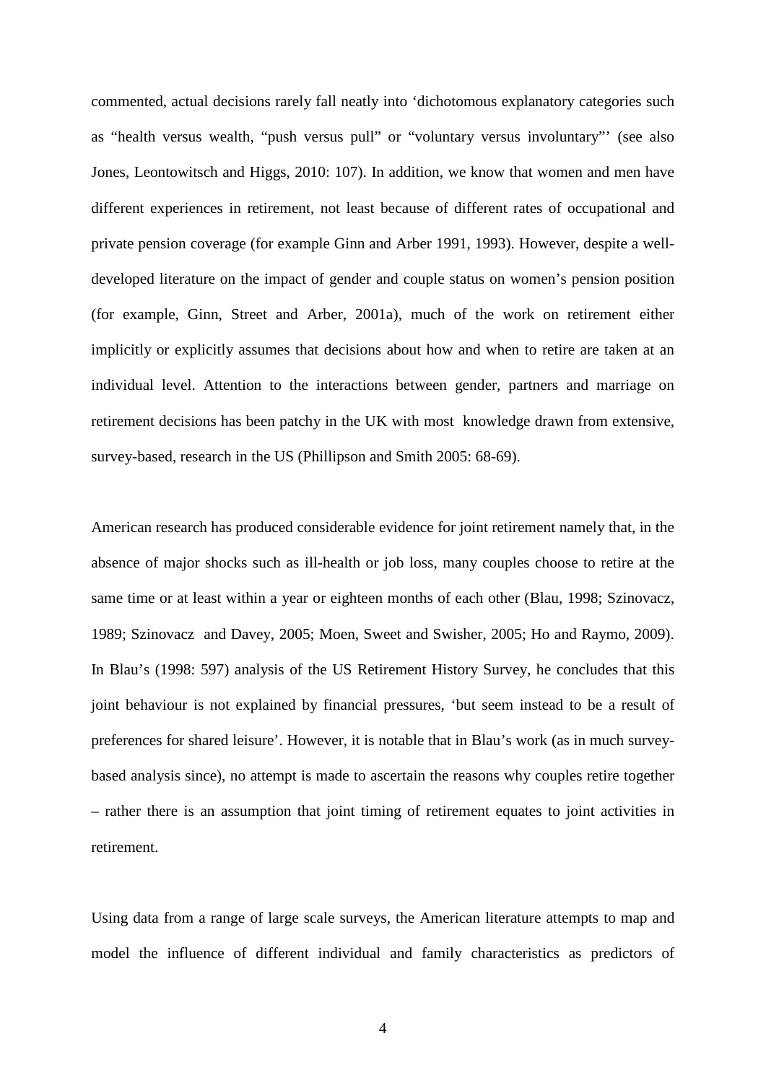commented, actual decisions rarely fall neatly into 'dichotomous explanatory categories such as "health versus wealth, "push versus pull" or "voluntary versus involuntary"' (see also Jones, Leontowitsch and Higgs, 2010: 107). In addition, we know that women and men have different experiences in retirement, not least because of different rates of occupational and private pension coverage (for example Ginn and Arber 1991, 1993). However, despite a welldeveloped literature on the impact of gender and couple status on women's pension position (for example, Ginn, Street and Arber, 2001a), much of the work on retirement either implicitly or explicitly assumes that decisions about how and when to retire are taken at an individual level. Attention to the interactions between gender, partners and marriage on retirement decisions has been patchy in the UK with most knowledge drawn from extensive, survey-based, research in the US (Phillipson and Smith 2005: 68-69).

American research has produced considerable evidence for joint retirement namely that, in the absence of major shocks such as ill-health or job loss, many couples choose to retire at the same time or at least within a year or eighteen months of each other (Blau, 1998; Szinovacz, 1989; Szinovacz and Davey, 2005; Moen, Sweet and Swisher, 2005; Ho and Raymo, 2009). In Blau's (1998: 597) analysis of the US Retirement History Survey, he concludes that this joint behaviour is not explained by financial pressures, 'but seem instead to be a result of preferences for shared leisure'. However, it is notable that in Blau's work (as in much surveybased analysis since), no attempt is made to ascertain the reasons why couples retire together – rather there is an assumption that joint timing of retirement equates to joint activities in retirement.

Using data from a range of large scale surveys, the American literature attempts to map and model the influence of different individual and family characteristics as predictors of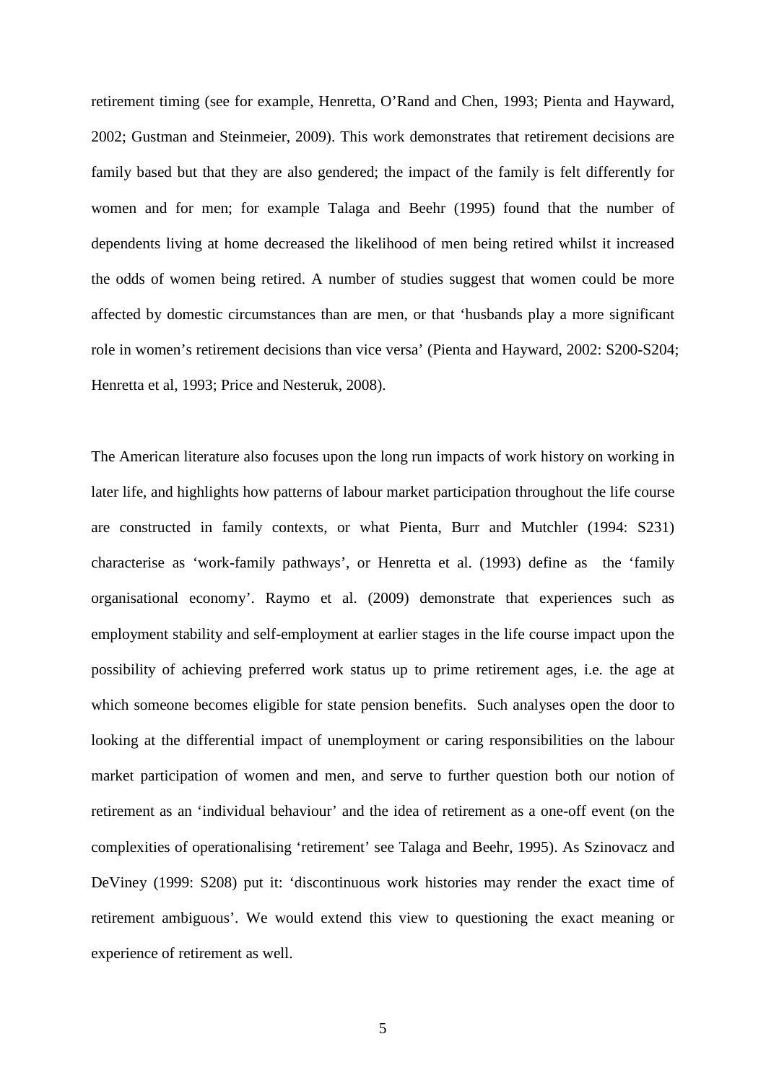retirement timing (see for example, Henretta, O'Rand and Chen, 1993; Pienta and Hayward, 2002; Gustman and Steinmeier, 2009). This work demonstrates that retirement decisions are family based but that they are also gendered; the impact of the family is felt differently for women and for men; for example Talaga and Beehr (1995) found that the number of dependents living at home decreased the likelihood of men being retired whilst it increased the odds of women being retired. A number of studies suggest that women could be more affected by domestic circumstances than are men, or that 'husbands play a more significant role in women's retirement decisions than vice versa' (Pienta and Hayward, 2002: S200-S204; Henretta et al, 1993; Price and Nesteruk, 2008).

The American literature also focuses upon the long run impacts of work history on working in later life, and highlights how patterns of labour market participation throughout the life course are constructed in family contexts, or what Pienta, Burr and Mutchler (1994: S231) characterise as 'work-family pathways', or Henretta et al. (1993) define as the 'family organisational economy'. Raymo et al. (2009) demonstrate that experiences such as employment stability and self-employment at earlier stages in the life course impact upon the possibility of achieving preferred work status up to prime retirement ages, i.e. the age at which someone becomes eligible for state pension benefits. Such analyses open the door to looking at the differential impact of unemployment or caring responsibilities on the labour market participation of women and men, and serve to further question both our notion of retirement as an 'individual behaviour' and the idea of retirement as a one-off event (on the complexities of operationalising 'retirement' see Talaga and Beehr, 1995). As Szinovacz and DeViney (1999: S208) put it: 'discontinuous work histories may render the exact time of retirement ambiguous'. We would extend this view to questioning the exact meaning or experience of retirement as well.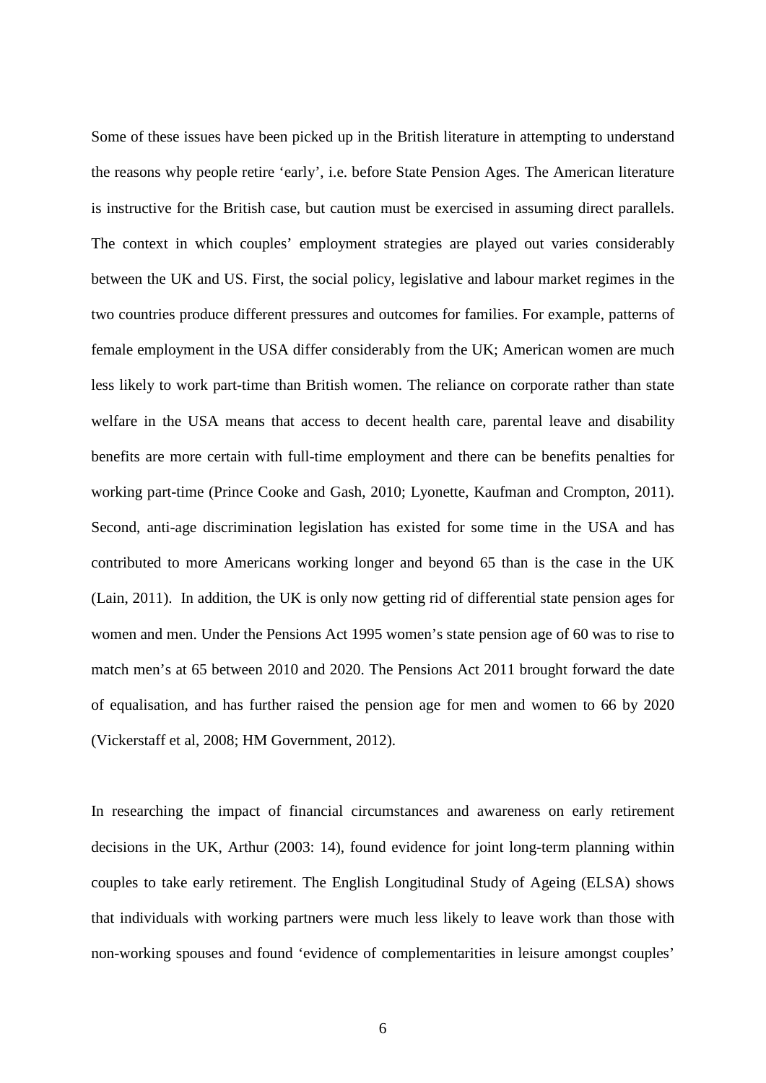Some of these issues have been picked up in the British literature in attempting to understand the reasons why people retire 'early', i.e. before State Pension Ages. The American literature is instructive for the British case, but caution must be exercised in assuming direct parallels. The context in which couples' employment strategies are played out varies considerably between the UK and US. First, the social policy, legislative and labour market regimes in the two countries produce different pressures and outcomes for families. For example, patterns of female employment in the USA differ considerably from the UK; American women are much less likely to work part-time than British women. The reliance on corporate rather than state welfare in the USA means that access to decent health care, parental leave and disability benefits are more certain with full-time employment and there can be benefits penalties for working part-time (Prince Cooke and Gash, 2010; Lyonette, Kaufman and Crompton, 2011). Second, anti-age discrimination legislation has existed for some time in the USA and has contributed to more Americans working longer and beyond 65 than is the case in the UK (Lain, 2011). In addition, the UK is only now getting rid of differential state pension ages for women and men. Under the Pensions Act 1995 women's state pension age of 60 was to rise to match men's at 65 between 2010 and 2020. The Pensions Act 2011 brought forward the date of equalisation, and has further raised the pension age for men and women to 66 by 2020 (Vickerstaff et al, 2008; HM Government, 2012).

In researching the impact of financial circumstances and awareness on early retirement decisions in the UK, Arthur (2003: 14), found evidence for joint long-term planning within couples to take early retirement. The English Longitudinal Study of Ageing (ELSA) shows that individuals with working partners were much less likely to leave work than those with non-working spouses and found 'evidence of complementarities in leisure amongst couples'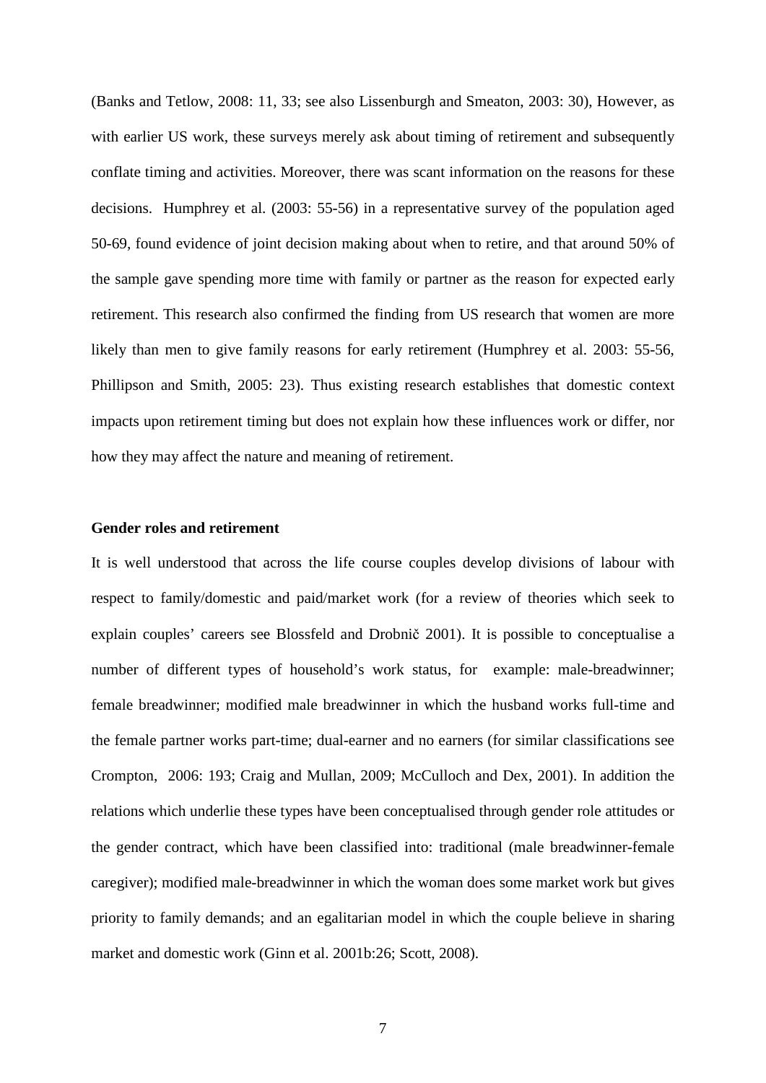(Banks and Tetlow, 2008: 11, 33; see also Lissenburgh and Smeaton, 2003: 30), However, as with earlier US work, these surveys merely ask about timing of retirement and subsequently conflate timing and activities. Moreover, there was scant information on the reasons for these decisions. Humphrey et al. (2003: 55-56) in a representative survey of the population aged 50-69, found evidence of joint decision making about when to retire, and that around 50% of the sample gave spending more time with family or partner as the reason for expected early retirement. This research also confirmed the finding from US research that women are more likely than men to give family reasons for early retirement (Humphrey et al. 2003: 55-56, Phillipson and Smith, 2005: 23). Thus existing research establishes that domestic context impacts upon retirement timing but does not explain how these influences work or differ, nor how they may affect the nature and meaning of retirement.

#### **Gender roles and retirement**

It is well understood that across the life course couples develop divisions of labour with respect to family/domestic and paid/market work (for a review of theories which seek to explain couples' careers see Blossfeld and Drobnič 2001). It is possible to conceptualise a number of different types of household's work status, for example: male-breadwinner; female breadwinner; modified male breadwinner in which the husband works full-time and the female partner works part-time; dual-earner and no earners (for similar classifications see Crompton, 2006: 193; Craig and Mullan, 2009; McCulloch and Dex, 2001). In addition the relations which underlie these types have been conceptualised through gender role attitudes or the gender contract, which have been classified into: traditional (male breadwinner-female caregiver); modified male-breadwinner in which the woman does some market work but gives priority to family demands; and an egalitarian model in which the couple believe in sharing market and domestic work (Ginn et al. 2001b:26; Scott, 2008).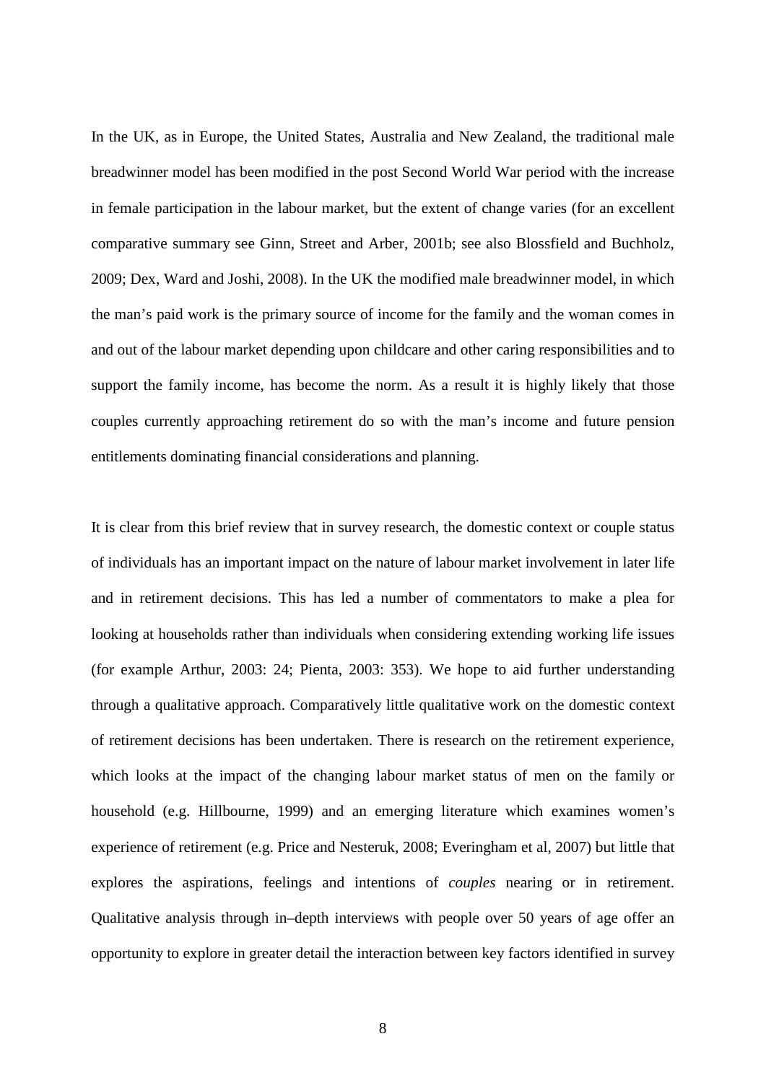In the UK, as in Europe, the United States, Australia and New Zealand, the traditional male breadwinner model has been modified in the post Second World War period with the increase in female participation in the labour market, but the extent of change varies (for an excellent comparative summary see Ginn, Street and Arber, 2001b; see also Blossfield and Buchholz, 2009; Dex, Ward and Joshi, 2008). In the UK the modified male breadwinner model, in which the man's paid work is the primary source of income for the family and the woman comes in and out of the labour market depending upon childcare and other caring responsibilities and to support the family income, has become the norm. As a result it is highly likely that those couples currently approaching retirement do so with the man's income and future pension entitlements dominating financial considerations and planning.

It is clear from this brief review that in survey research, the domestic context or couple status of individuals has an important impact on the nature of labour market involvement in later life and in retirement decisions. This has led a number of commentators to make a plea for looking at households rather than individuals when considering extending working life issues (for example Arthur, 2003: 24; Pienta, 2003: 353). We hope to aid further understanding through a qualitative approach. Comparatively little qualitative work on the domestic context of retirement decisions has been undertaken. There is research on the retirement experience, which looks at the impact of the changing labour market status of men on the family or household (e.g. Hillbourne, 1999) and an emerging literature which examines women's experience of retirement (e.g. Price and Nesteruk, 2008; Everingham et al, 2007) but little that explores the aspirations, feelings and intentions of *couples* nearing or in retirement. Qualitative analysis through in–depth interviews with people over 50 years of age offer an opportunity to explore in greater detail the interaction between key factors identified in survey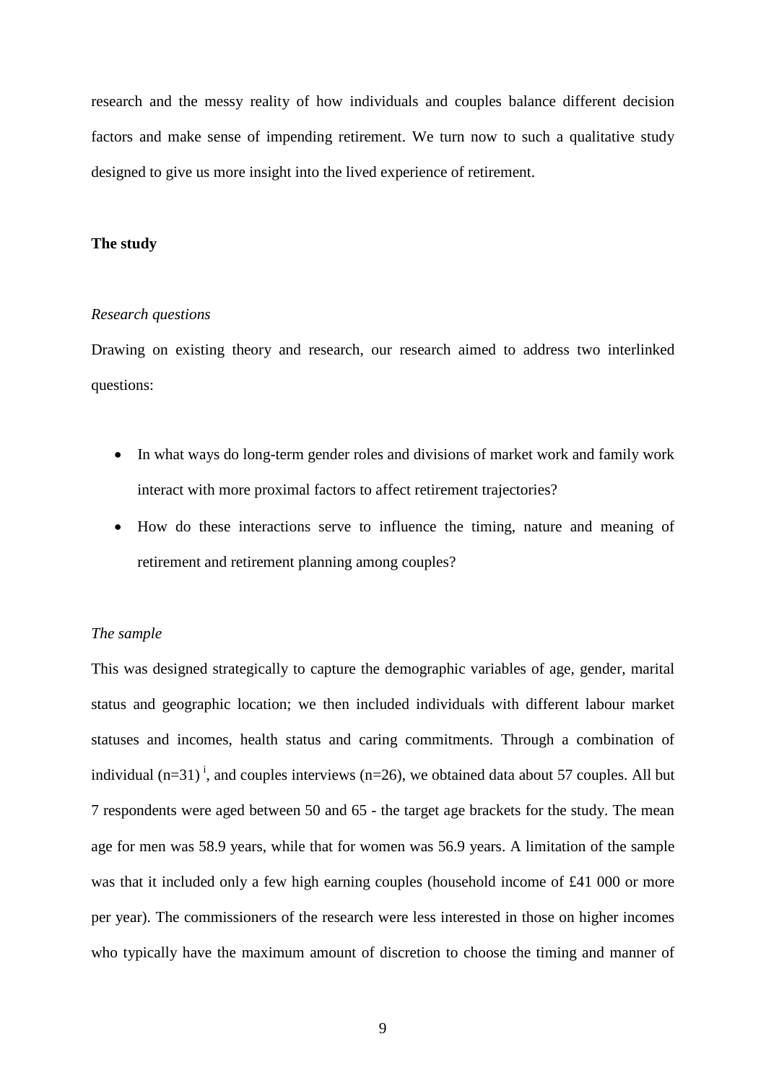research and the messy reality of how individuals and couples balance different decision factors and make sense of impending retirement. We turn now to such a qualitative study designed to give us more insight into the lived experience of retirement.

#### **The study**

#### *Research questions*

Drawing on existing theory and research, our research aimed to address two interlinked questions:

- In what ways do long-term gender roles and divisions of market work and family work interact with more proximal factors to affect retirement trajectories?
- How do these interactions serve to influence the timing, nature and meaning of retirement and retirement planning among couples?

#### *The sample*

This was designed strategically to capture the demographic variables of age, gender, marital status and geographic location; we then included individuals with different labour market statuses and incomes, health status and caring commitments. Through a combination of [i](#page-38-0)ndividual  $(n=31)^i$ , and couples interviews  $(n=26)$ , we obtained data about 57 couples. All but 7 respondents were aged between 50 and 65 - the target age brackets for the study. The mean age for men was 58.9 years, while that for women was 56.9 years. A limitation of the sample was that it included only a few high earning couples (household income of £41 000 or more per year). The commissioners of the research were less interested in those on higher incomes who typically have the maximum amount of discretion to choose the timing and manner of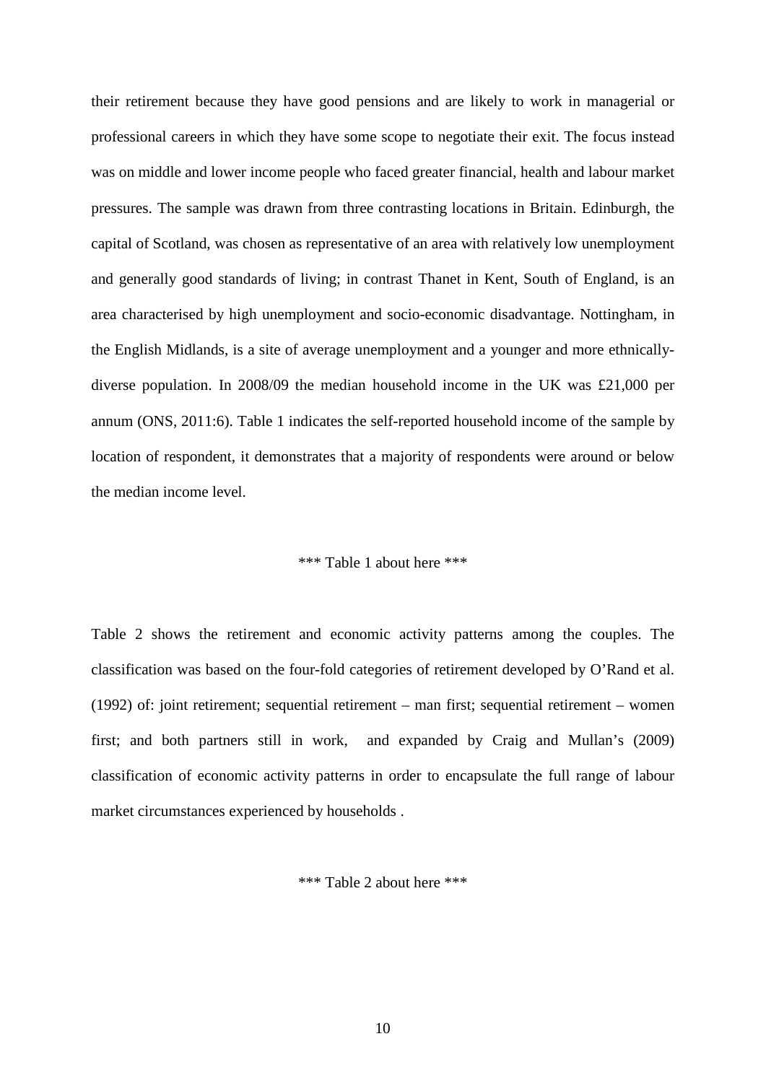their retirement because they have good pensions and are likely to work in managerial or professional careers in which they have some scope to negotiate their exit. The focus instead was on middle and lower income people who faced greater financial, health and labour market pressures. The sample was drawn from three contrasting locations in Britain. Edinburgh, the capital of Scotland, was chosen as representative of an area with relatively low unemployment and generally good standards of living; in contrast Thanet in Kent, South of England, is an area characterised by high unemployment and socio-economic disadvantage. Nottingham, in the English Midlands, is a site of average unemployment and a younger and more ethnicallydiverse population. In 2008/09 the median household income in the UK was £21,000 per annum (ONS, 2011:6). Table 1 indicates the self-reported household income of the sample by location of respondent, it demonstrates that a majority of respondents were around or below the median income level.

#### \*\*\* Table 1 about here \*\*\*

Table 2 shows the retirement and economic activity patterns among the couples. The classification was based on the four-fold categories of retirement developed by O'Rand et al. (1992) of: joint retirement; sequential retirement – man first; sequential retirement – women first; and both partners still in work, and expanded by Craig and Mullan's (2009) classification of economic activity patterns in order to encapsulate the full range of labour market circumstances experienced by households .

\*\*\* Table 2 about here \*\*\*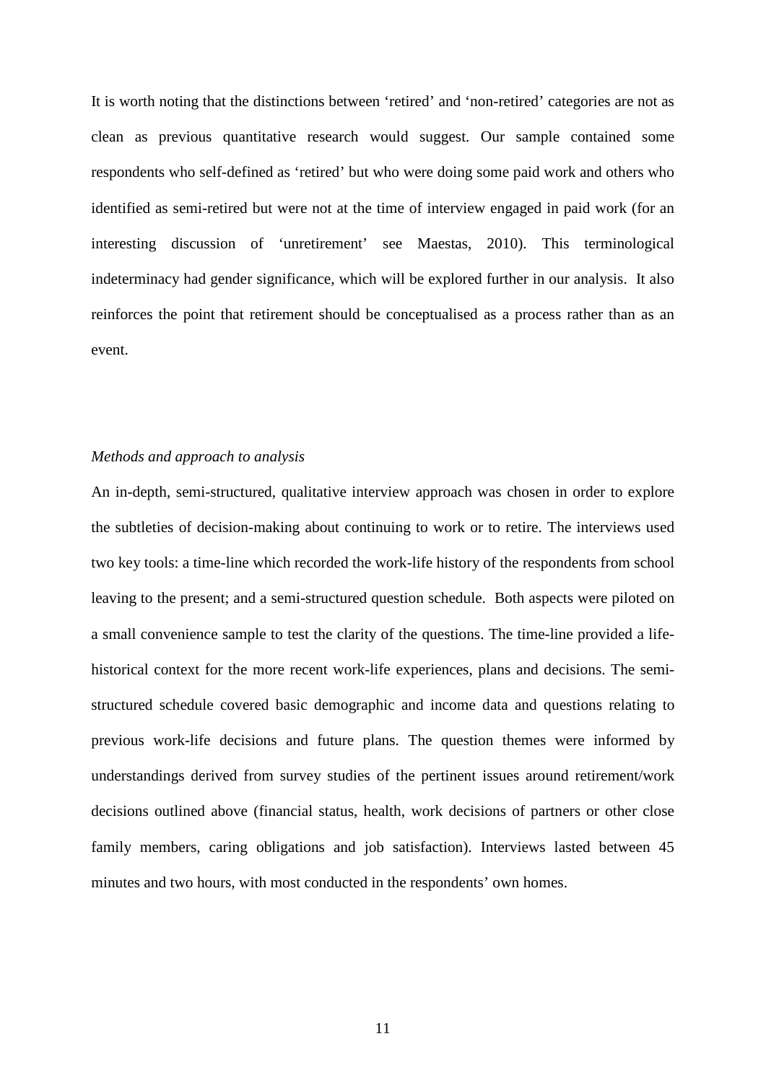It is worth noting that the distinctions between 'retired' and 'non-retired' categories are not as clean as previous quantitative research would suggest. Our sample contained some respondents who self-defined as 'retired' but who were doing some paid work and others who identified as semi-retired but were not at the time of interview engaged in paid work (for an interesting discussion of 'unretirement' see Maestas, 2010). This terminological indeterminacy had gender significance, which will be explored further in our analysis. It also reinforces the point that retirement should be conceptualised as a process rather than as an event.

#### *Methods and approach to analysis*

An in-depth, semi-structured, qualitative interview approach was chosen in order to explore the subtleties of decision-making about continuing to work or to retire. The interviews used two key tools: a time-line which recorded the work-life history of the respondents from school leaving to the present; and a semi-structured question schedule. Both aspects were piloted on a small convenience sample to test the clarity of the questions. The time-line provided a lifehistorical context for the more recent work-life experiences, plans and decisions. The semistructured schedule covered basic demographic and income data and questions relating to previous work-life decisions and future plans. The question themes were informed by understandings derived from survey studies of the pertinent issues around retirement/work decisions outlined above (financial status, health, work decisions of partners or other close family members, caring obligations and job satisfaction). Interviews lasted between 45 minutes and two hours, with most conducted in the respondents' own homes.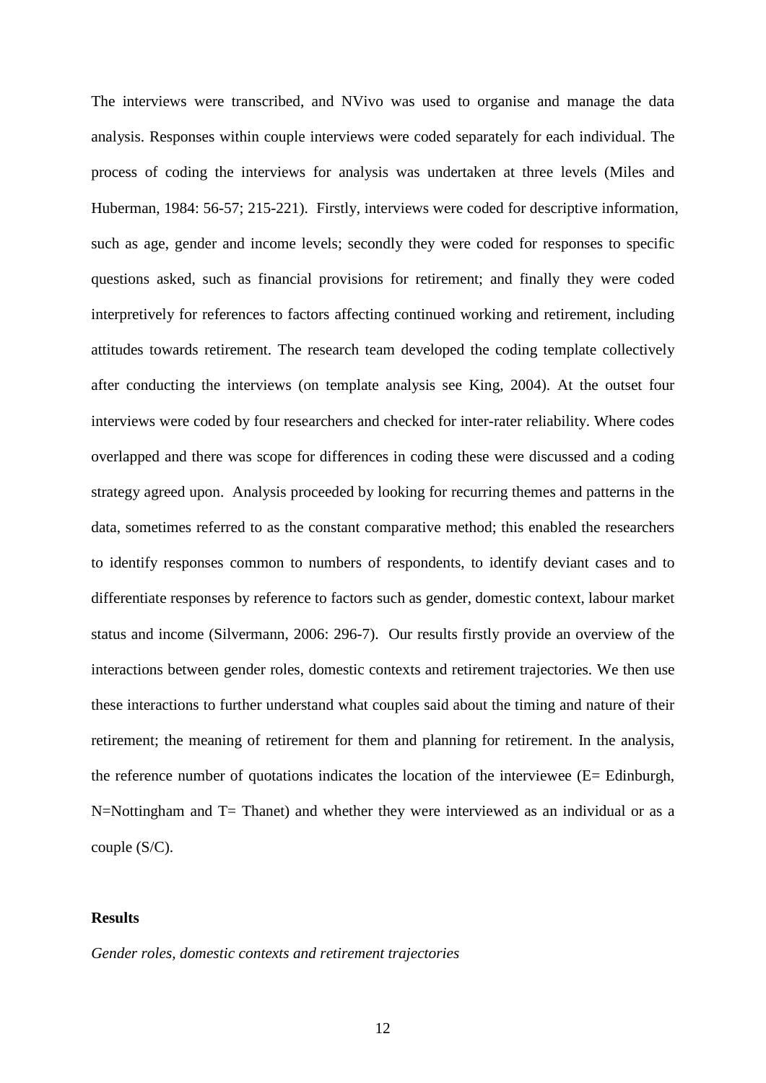The interviews were transcribed, and NVivo was used to organise and manage the data analysis. Responses within couple interviews were coded separately for each individual. The process of coding the interviews for analysis was undertaken at three levels (Miles and Huberman, 1984: 56-57; 215-221). Firstly, interviews were coded for descriptive information, such as age, gender and income levels; secondly they were coded for responses to specific questions asked, such as financial provisions for retirement; and finally they were coded interpretively for references to factors affecting continued working and retirement, including attitudes towards retirement. The research team developed the coding template collectively after conducting the interviews (on template analysis see King, 2004). At the outset four interviews were coded by four researchers and checked for inter-rater reliability. Where codes overlapped and there was scope for differences in coding these were discussed and a coding strategy agreed upon. Analysis proceeded by looking for recurring themes and patterns in the data, sometimes referred to as the constant comparative method; this enabled the researchers to identify responses common to numbers of respondents, to identify deviant cases and to differentiate responses by reference to factors such as gender, domestic context, labour market status and income (Silvermann, 2006: 296-7). Our results firstly provide an overview of the interactions between gender roles, domestic contexts and retirement trajectories. We then use these interactions to further understand what couples said about the timing and nature of their retirement; the meaning of retirement for them and planning for retirement. In the analysis, the reference number of quotations indicates the location of the interviewee (E= Edinburgh, N=Nottingham and T= Thanet) and whether they were interviewed as an individual or as a couple (S/C).

#### **Results**

*Gender roles, domestic contexts and retirement trajectories*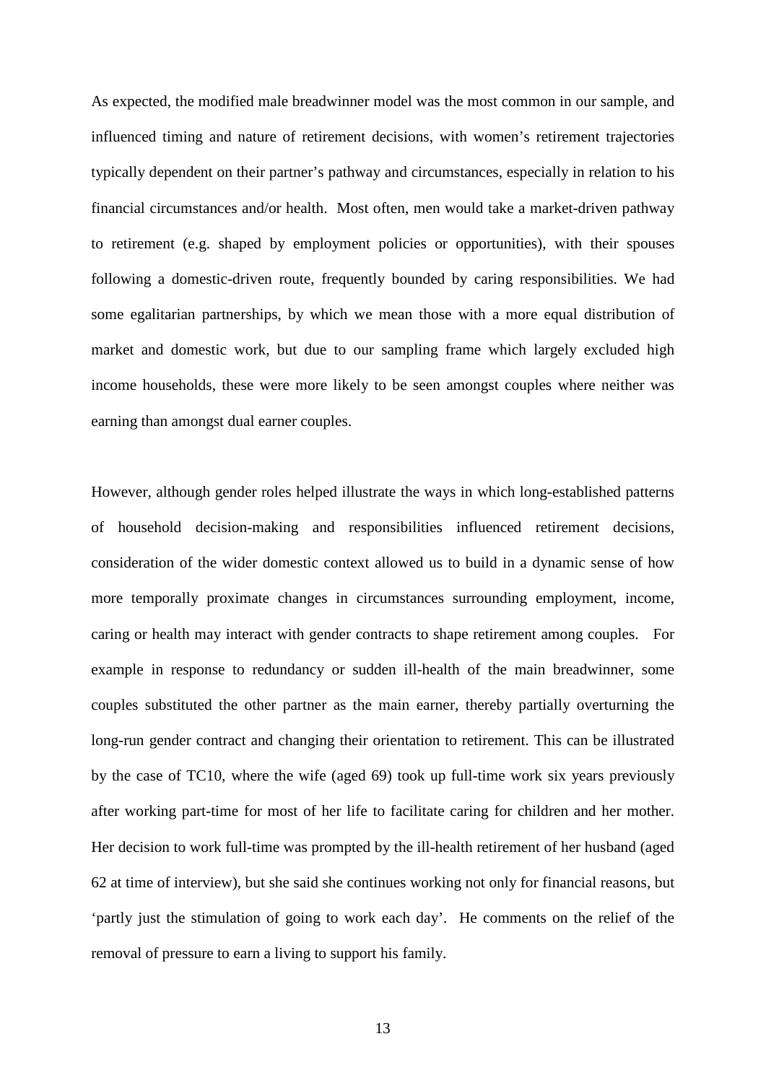As expected, the modified male breadwinner model was the most common in our sample, and influenced timing and nature of retirement decisions, with women's retirement trajectories typically dependent on their partner's pathway and circumstances, especially in relation to his financial circumstances and/or health. Most often, men would take a market-driven pathway to retirement (e.g. shaped by employment policies or opportunities), with their spouses following a domestic-driven route, frequently bounded by caring responsibilities. We had some egalitarian partnerships, by which we mean those with a more equal distribution of market and domestic work, but due to our sampling frame which largely excluded high income households, these were more likely to be seen amongst couples where neither was earning than amongst dual earner couples.

However, although gender roles helped illustrate the ways in which long-established patterns of household decision-making and responsibilities influenced retirement decisions, consideration of the wider domestic context allowed us to build in a dynamic sense of how more temporally proximate changes in circumstances surrounding employment, income, caring or health may interact with gender contracts to shape retirement among couples. For example in response to redundancy or sudden ill-health of the main breadwinner, some couples substituted the other partner as the main earner, thereby partially overturning the long-run gender contract and changing their orientation to retirement. This can be illustrated by the case of TC10, where the wife (aged 69) took up full-time work six years previously after working part-time for most of her life to facilitate caring for children and her mother. Her decision to work full-time was prompted by the ill-health retirement of her husband (aged 62 at time of interview), but she said she continues working not only for financial reasons, but 'partly just the stimulation of going to work each day'. He comments on the relief of the removal of pressure to earn a living to support his family.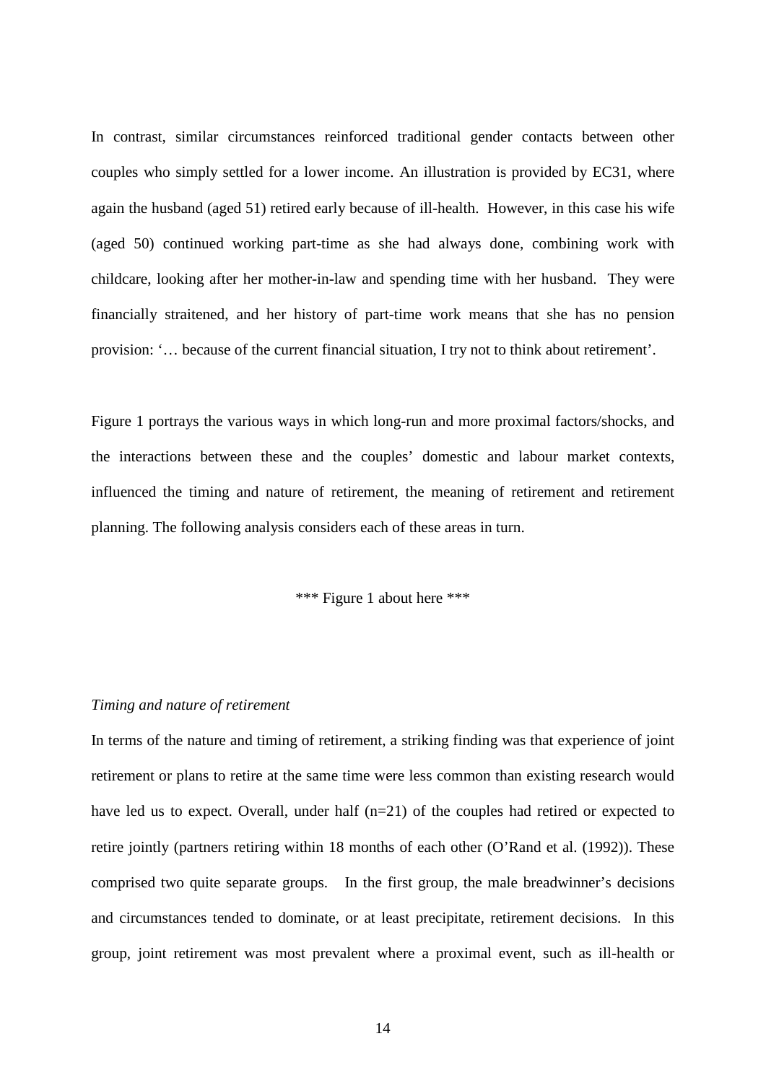In contrast, similar circumstances reinforced traditional gender contacts between other couples who simply settled for a lower income. An illustration is provided by EC31, where again the husband (aged 51) retired early because of ill-health. However, in this case his wife (aged 50) continued working part-time as she had always done, combining work with childcare, looking after her mother-in-law and spending time with her husband. They were financially straitened, and her history of part-time work means that she has no pension provision: '… because of the current financial situation, I try not to think about retirement'.

Figure 1 portrays the various ways in which long-run and more proximal factors/shocks, and the interactions between these and the couples' domestic and labour market contexts, influenced the timing and nature of retirement, the meaning of retirement and retirement planning. The following analysis considers each of these areas in turn.

\*\*\* Figure 1 about here \*\*\*

#### *Timing and nature of retirement*

In terms of the nature and timing of retirement, a striking finding was that experience of joint retirement or plans to retire at the same time were less common than existing research would have led us to expect. Overall, under half (n=21) of the couples had retired or expected to retire jointly (partners retiring within 18 months of each other (O'Rand et al. (1992)). These comprised two quite separate groups. In the first group, the male breadwinner's decisions and circumstances tended to dominate, or at least precipitate, retirement decisions. In this group, joint retirement was most prevalent where a proximal event, such as ill-health or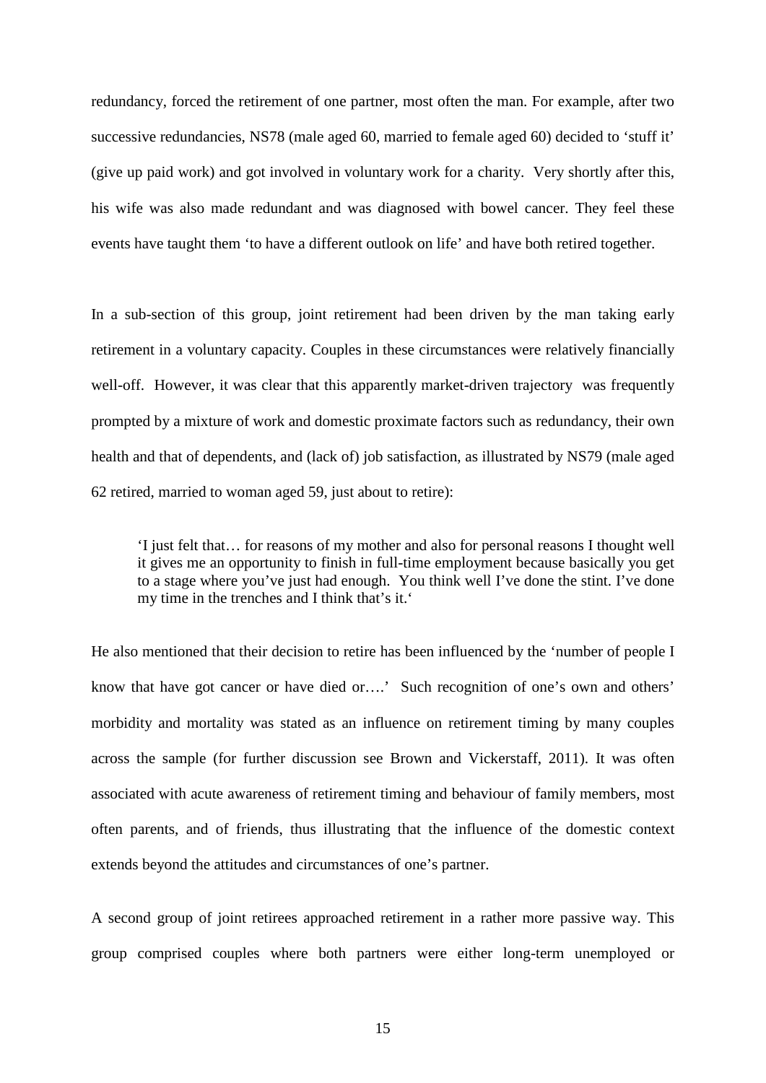redundancy, forced the retirement of one partner, most often the man. For example, after two successive redundancies, NS78 (male aged 60, married to female aged 60) decided to 'stuff it' (give up paid work) and got involved in voluntary work for a charity. Very shortly after this, his wife was also made redundant and was diagnosed with bowel cancer. They feel these events have taught them 'to have a different outlook on life' and have both retired together.

In a sub-section of this group, joint retirement had been driven by the man taking early retirement in a voluntary capacity. Couples in these circumstances were relatively financially well-off. However, it was clear that this apparently market-driven trajectory was frequently prompted by a mixture of work and domestic proximate factors such as redundancy, their own health and that of dependents, and (lack of) job satisfaction, as illustrated by NS79 (male aged 62 retired, married to woman aged 59, just about to retire):

'I just felt that… for reasons of my mother and also for personal reasons I thought well it gives me an opportunity to finish in full-time employment because basically you get to a stage where you've just had enough. You think well I've done the stint. I've done my time in the trenches and I think that's it.'

He also mentioned that their decision to retire has been influenced by the 'number of people I know that have got cancer or have died or….' Such recognition of one's own and others' morbidity and mortality was stated as an influence on retirement timing by many couples across the sample (for further discussion see Brown and Vickerstaff, 2011). It was often associated with acute awareness of retirement timing and behaviour of family members, most often parents, and of friends, thus illustrating that the influence of the domestic context extends beyond the attitudes and circumstances of one's partner.

A second group of joint retirees approached retirement in a rather more passive way. This group comprised couples where both partners were either long-term unemployed or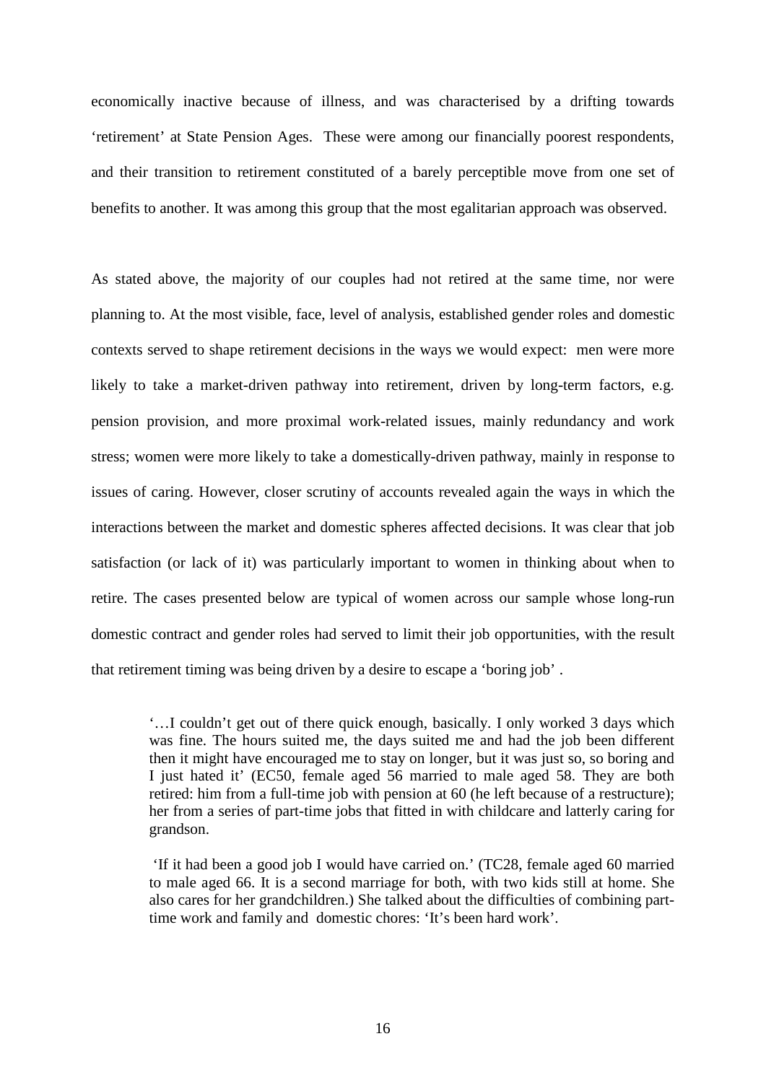economically inactive because of illness, and was characterised by a drifting towards 'retirement' at State Pension Ages. These were among our financially poorest respondents, and their transition to retirement constituted of a barely perceptible move from one set of benefits to another. It was among this group that the most egalitarian approach was observed.

As stated above, the majority of our couples had not retired at the same time, nor were planning to. At the most visible, face, level of analysis, established gender roles and domestic contexts served to shape retirement decisions in the ways we would expect: men were more likely to take a market-driven pathway into retirement, driven by long-term factors, e.g. pension provision, and more proximal work-related issues, mainly redundancy and work stress; women were more likely to take a domestically-driven pathway, mainly in response to issues of caring. However, closer scrutiny of accounts revealed again the ways in which the interactions between the market and domestic spheres affected decisions. It was clear that job satisfaction (or lack of it) was particularly important to women in thinking about when to retire. The cases presented below are typical of women across our sample whose long-run domestic contract and gender roles had served to limit their job opportunities, with the result that retirement timing was being driven by a desire to escape a 'boring job' .

'…I couldn't get out of there quick enough, basically. I only worked 3 days which was fine. The hours suited me, the days suited me and had the job been different then it might have encouraged me to stay on longer, but it was just so, so boring and I just hated it' (EC50, female aged 56 married to male aged 58. They are both retired: him from a full-time job with pension at 60 (he left because of a restructure); her from a series of part-time jobs that fitted in with childcare and latterly caring for grandson.

'If it had been a good job I would have carried on.' (TC28, female aged 60 married to male aged 66. It is a second marriage for both, with two kids still at home. She also cares for her grandchildren.) She talked about the difficulties of combining parttime work and family and domestic chores: 'It's been hard work'.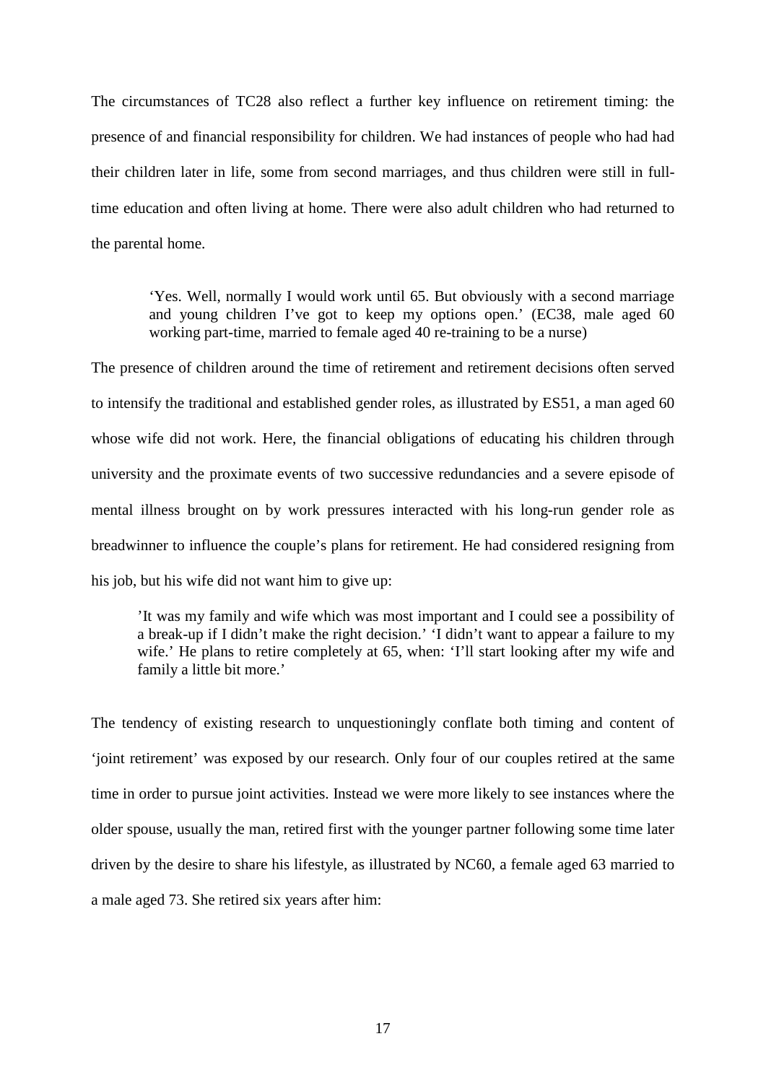The circumstances of TC28 also reflect a further key influence on retirement timing: the presence of and financial responsibility for children. We had instances of people who had had their children later in life, some from second marriages, and thus children were still in fulltime education and often living at home. There were also adult children who had returned to the parental home.

'Yes. Well, normally I would work until 65. But obviously with a second marriage and young children I've got to keep my options open.' (EC38, male aged 60 working part-time, married to female aged 40 re-training to be a nurse)

The presence of children around the time of retirement and retirement decisions often served to intensify the traditional and established gender roles, as illustrated by ES51, a man aged 60 whose wife did not work. Here, the financial obligations of educating his children through university and the proximate events of two successive redundancies and a severe episode of mental illness brought on by work pressures interacted with his long-run gender role as breadwinner to influence the couple's plans for retirement. He had considered resigning from his job, but his wife did not want him to give up:

'It was my family and wife which was most important and I could see a possibility of a break-up if I didn't make the right decision.' 'I didn't want to appear a failure to my wife.' He plans to retire completely at 65, when: 'I'll start looking after my wife and family a little bit more.'

The tendency of existing research to unquestioningly conflate both timing and content of 'joint retirement' was exposed by our research. Only four of our couples retired at the same time in order to pursue joint activities. Instead we were more likely to see instances where the older spouse, usually the man, retired first with the younger partner following some time later driven by the desire to share his lifestyle, as illustrated by NC60, a female aged 63 married to a male aged 73. She retired six years after him: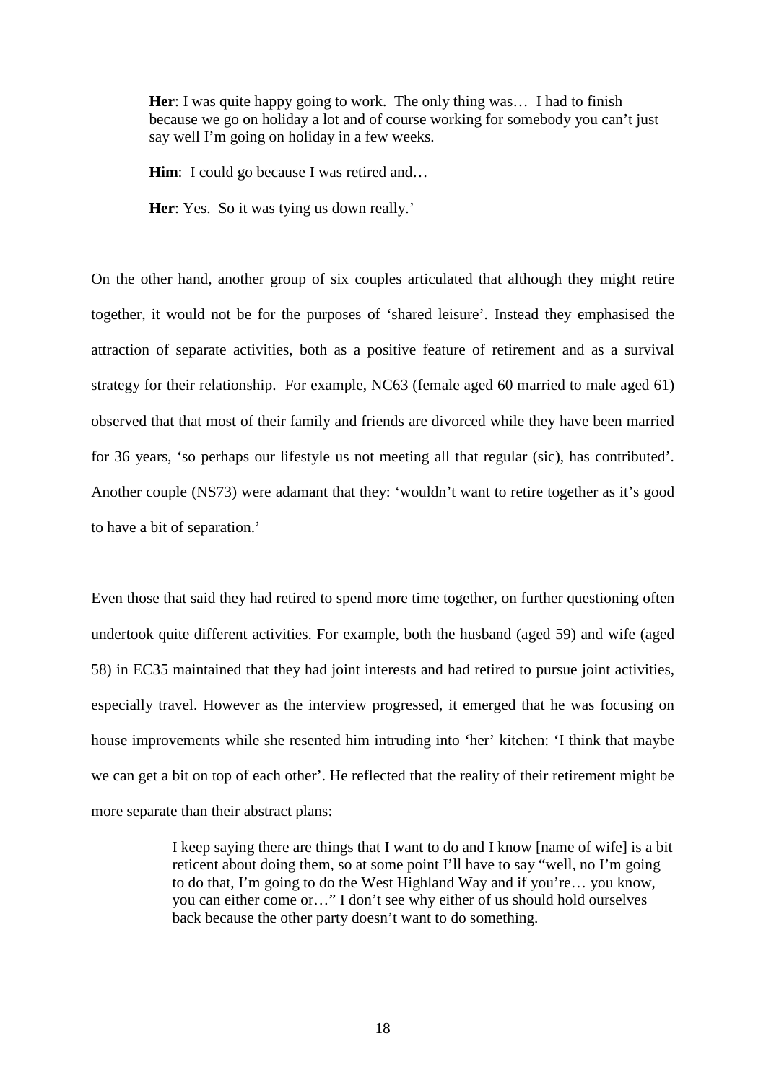**Her**: I was quite happy going to work. The only thing was… I had to finish because we go on holiday a lot and of course working for somebody you can't just say well I'm going on holiday in a few weeks.

**Him**: I could go because I was retired and...

Her: Yes. So it was tying us down really.'

On the other hand, another group of six couples articulated that although they might retire together, it would not be for the purposes of 'shared leisure'. Instead they emphasised the attraction of separate activities, both as a positive feature of retirement and as a survival strategy for their relationship. For example, NC63 (female aged 60 married to male aged 61) observed that that most of their family and friends are divorced while they have been married for 36 years, 'so perhaps our lifestyle us not meeting all that regular (sic), has contributed'. Another couple (NS73) were adamant that they: 'wouldn't want to retire together as it's good to have a bit of separation.'

Even those that said they had retired to spend more time together, on further questioning often undertook quite different activities. For example, both the husband (aged 59) and wife (aged 58) in EC35 maintained that they had joint interests and had retired to pursue joint activities, especially travel. However as the interview progressed, it emerged that he was focusing on house improvements while she resented him intruding into 'her' kitchen: 'I think that maybe we can get a bit on top of each other'. He reflected that the reality of their retirement might be more separate than their abstract plans:

> I keep saying there are things that I want to do and I know [name of wife] is a bit reticent about doing them, so at some point I'll have to say "well, no I'm going to do that, I'm going to do the West Highland Way and if you're… you know, you can either come or…" I don't see why either of us should hold ourselves back because the other party doesn't want to do something.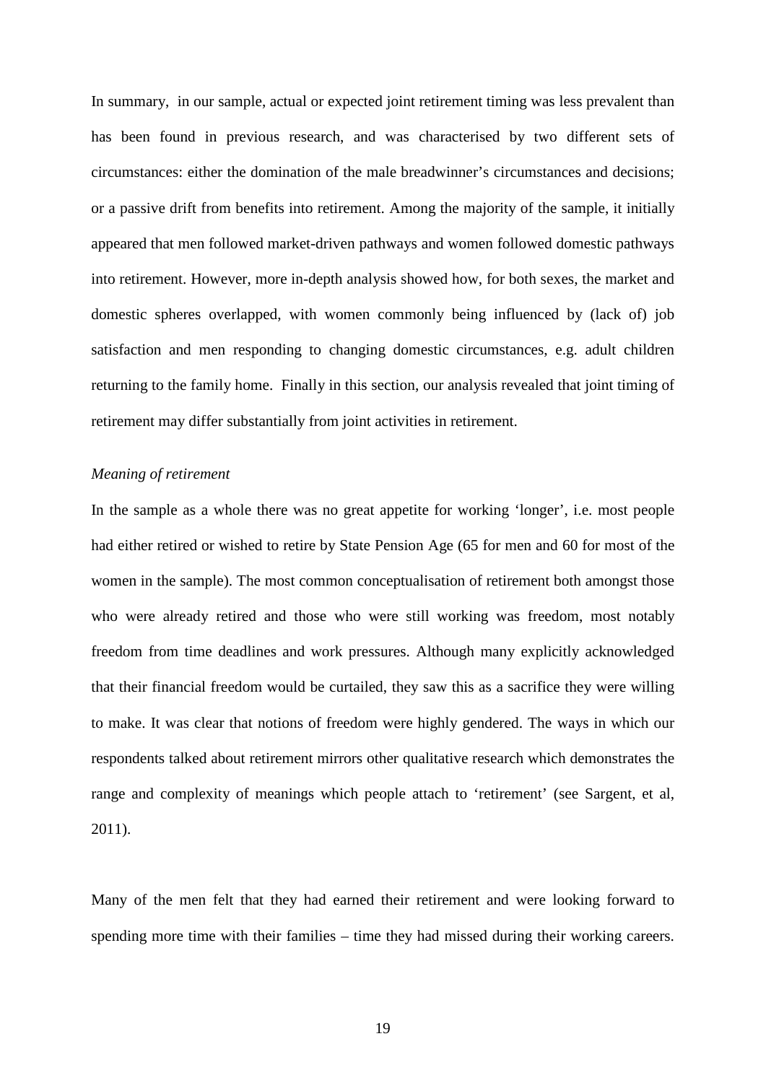In summary, in our sample, actual or expected joint retirement timing was less prevalent than has been found in previous research, and was characterised by two different sets of circumstances: either the domination of the male breadwinner's circumstances and decisions; or a passive drift from benefits into retirement. Among the majority of the sample, it initially appeared that men followed market-driven pathways and women followed domestic pathways into retirement. However, more in-depth analysis showed how, for both sexes, the market and domestic spheres overlapped, with women commonly being influenced by (lack of) job satisfaction and men responding to changing domestic circumstances, e.g. adult children returning to the family home. Finally in this section, our analysis revealed that joint timing of retirement may differ substantially from joint activities in retirement.

#### *Meaning of retirement*

In the sample as a whole there was no great appetite for working 'longer', i.e. most people had either retired or wished to retire by State Pension Age (65 for men and 60 for most of the women in the sample). The most common conceptualisation of retirement both amongst those who were already retired and those who were still working was freedom, most notably freedom from time deadlines and work pressures. Although many explicitly acknowledged that their financial freedom would be curtailed, they saw this as a sacrifice they were willing to make. It was clear that notions of freedom were highly gendered. The ways in which our respondents talked about retirement mirrors other qualitative research which demonstrates the range and complexity of meanings which people attach to 'retirement' (see Sargent, et al, 2011).

Many of the men felt that they had earned their retirement and were looking forward to spending more time with their families – time they had missed during their working careers.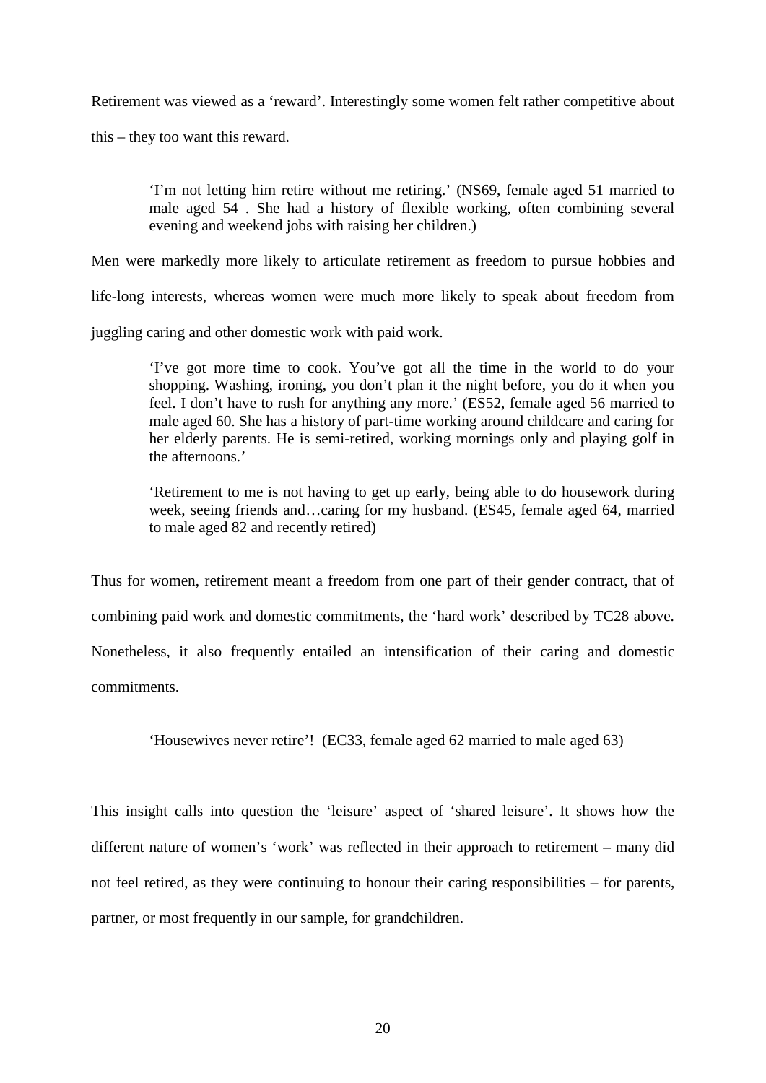Retirement was viewed as a 'reward'. Interestingly some women felt rather competitive about

this – they too want this reward.

'I'm not letting him retire without me retiring.' (NS69, female aged 51 married to male aged 54 . She had a history of flexible working, often combining several evening and weekend jobs with raising her children.)

Men were markedly more likely to articulate retirement as freedom to pursue hobbies and

life-long interests, whereas women were much more likely to speak about freedom from

juggling caring and other domestic work with paid work.

'I've got more time to cook. You've got all the time in the world to do your shopping. Washing, ironing, you don't plan it the night before, you do it when you feel. I don't have to rush for anything any more.' (ES52, female aged 56 married to male aged 60. She has a history of part-time working around childcare and caring for her elderly parents. He is semi-retired, working mornings only and playing golf in the afternoons.'

'Retirement to me is not having to get up early, being able to do housework during week, seeing friends and…caring for my husband. (ES45, female aged 64, married to male aged 82 and recently retired)

Thus for women, retirement meant a freedom from one part of their gender contract, that of combining paid work and domestic commitments, the 'hard work' described by TC28 above. Nonetheless, it also frequently entailed an intensification of their caring and domestic commitments.

'Housewives never retire'! (EC33, female aged 62 married to male aged 63)

This insight calls into question the 'leisure' aspect of 'shared leisure'. It shows how the different nature of women's 'work' was reflected in their approach to retirement – many did not feel retired, as they were continuing to honour their caring responsibilities – for parents, partner, or most frequently in our sample, for grandchildren.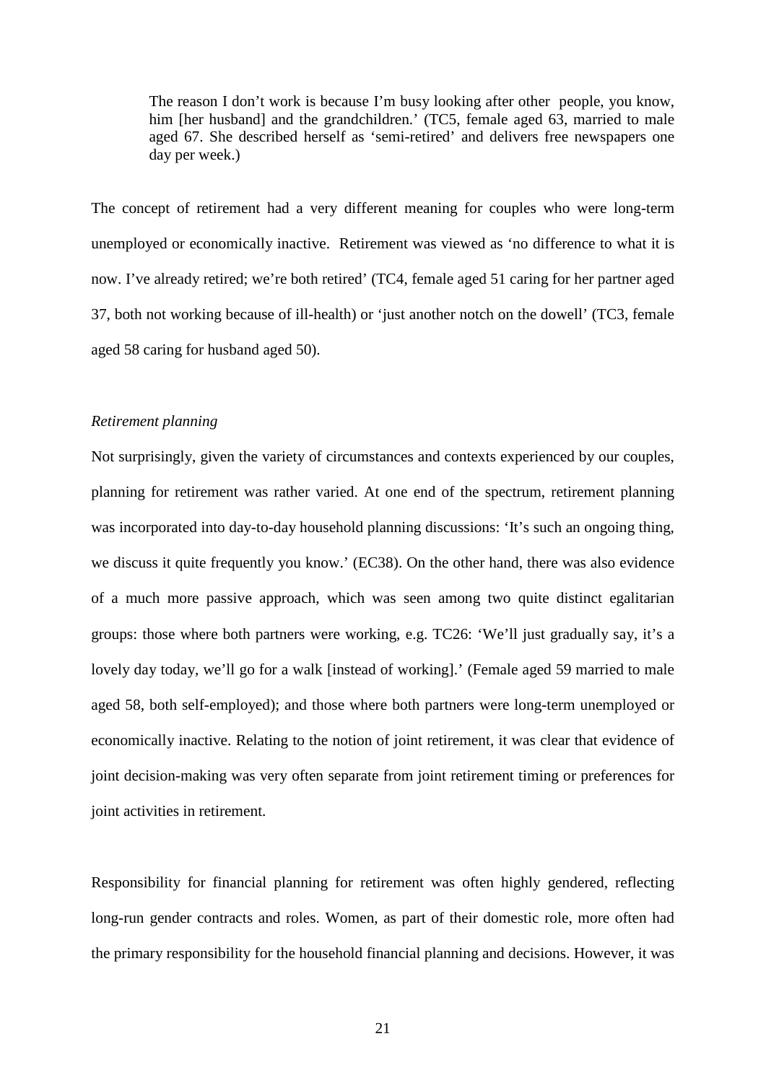The reason I don't work is because I'm busy looking after other people, you know, him [her husband] and the grandchildren.' (TC5, female aged 63, married to male aged 67. She described herself as 'semi-retired' and delivers free newspapers one day per week.)

The concept of retirement had a very different meaning for couples who were long-term unemployed or economically inactive. Retirement was viewed as 'no difference to what it is now. I've already retired; we're both retired' (TC4, female aged 51 caring for her partner aged 37, both not working because of ill-health) or 'just another notch on the dowell' (TC3, female aged 58 caring for husband aged 50).

#### *Retirement planning*

Not surprisingly, given the variety of circumstances and contexts experienced by our couples, planning for retirement was rather varied. At one end of the spectrum, retirement planning was incorporated into day-to-day household planning discussions: 'It's such an ongoing thing, we discuss it quite frequently you know.' (EC38). On the other hand, there was also evidence of a much more passive approach, which was seen among two quite distinct egalitarian groups: those where both partners were working, e.g. TC26: 'We'll just gradually say, it's a lovely day today, we'll go for a walk [instead of working].' (Female aged 59 married to male aged 58, both self-employed); and those where both partners were long-term unemployed or economically inactive. Relating to the notion of joint retirement, it was clear that evidence of joint decision-making was very often separate from joint retirement timing or preferences for joint activities in retirement.

Responsibility for financial planning for retirement was often highly gendered, reflecting long-run gender contracts and roles. Women, as part of their domestic role, more often had the primary responsibility for the household financial planning and decisions. However, it was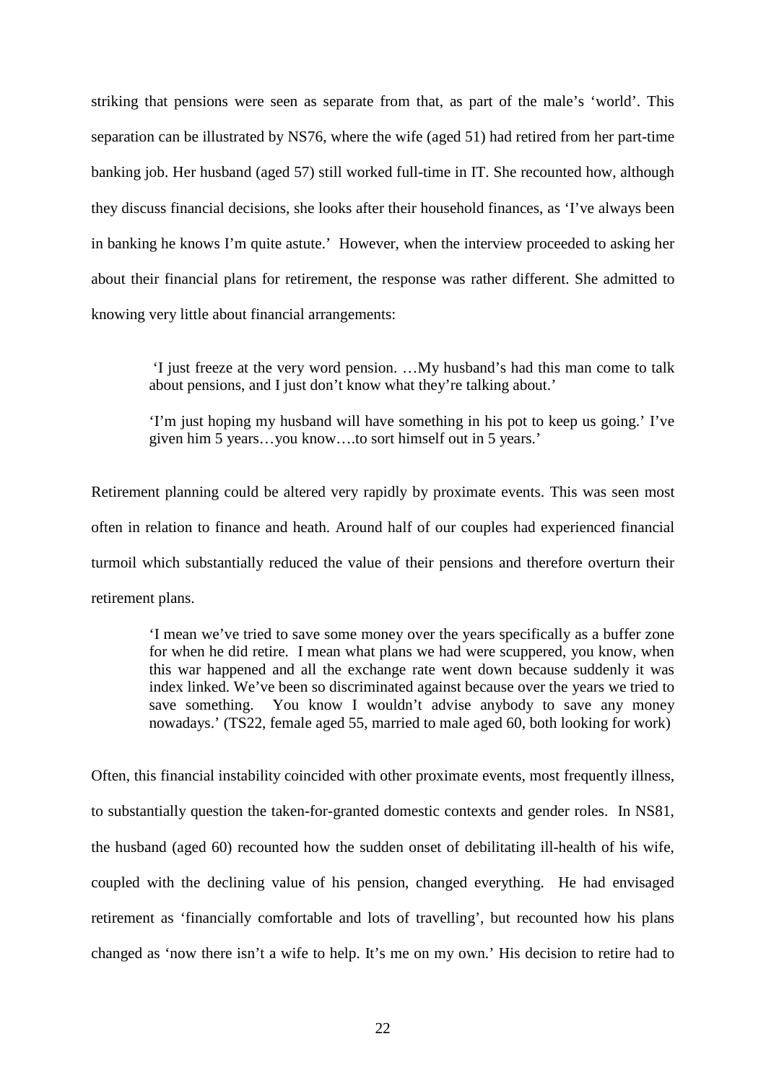striking that pensions were seen as separate from that, as part of the male's 'world'. This separation can be illustrated by NS76, where the wife (aged 51) had retired from her part-time banking job. Her husband (aged 57) still worked full-time in IT. She recounted how, although they discuss financial decisions, she looks after their household finances, as 'I've always been in banking he knows I'm quite astute.' However, when the interview proceeded to asking her about their financial plans for retirement, the response was rather different. She admitted to knowing very little about financial arrangements:

'I just freeze at the very word pension. …My husband's had this man come to talk about pensions, and I just don't know what they're talking about.'

'I'm just hoping my husband will have something in his pot to keep us going.' I've given him 5 years…you know….to sort himself out in 5 years.'

Retirement planning could be altered very rapidly by proximate events. This was seen most often in relation to finance and heath. Around half of our couples had experienced financial turmoil which substantially reduced the value of their pensions and therefore overturn their retirement plans.

'I mean we've tried to save some money over the years specifically as a buffer zone for when he did retire. I mean what plans we had were scuppered, you know, when this war happened and all the exchange rate went down because suddenly it was index linked. We've been so discriminated against because over the years we tried to save something. You know I wouldn't advise anybody to save any money nowadays.' (TS22, female aged 55, married to male aged 60, both looking for work)

Often, this financial instability coincided with other proximate events, most frequently illness, to substantially question the taken-for-granted domestic contexts and gender roles. In NS81, the husband (aged 60) recounted how the sudden onset of debilitating ill-health of his wife, coupled with the declining value of his pension, changed everything. He had envisaged retirement as 'financially comfortable and lots of travelling', but recounted how his plans changed as 'now there isn't a wife to help. It's me on my own.' His decision to retire had to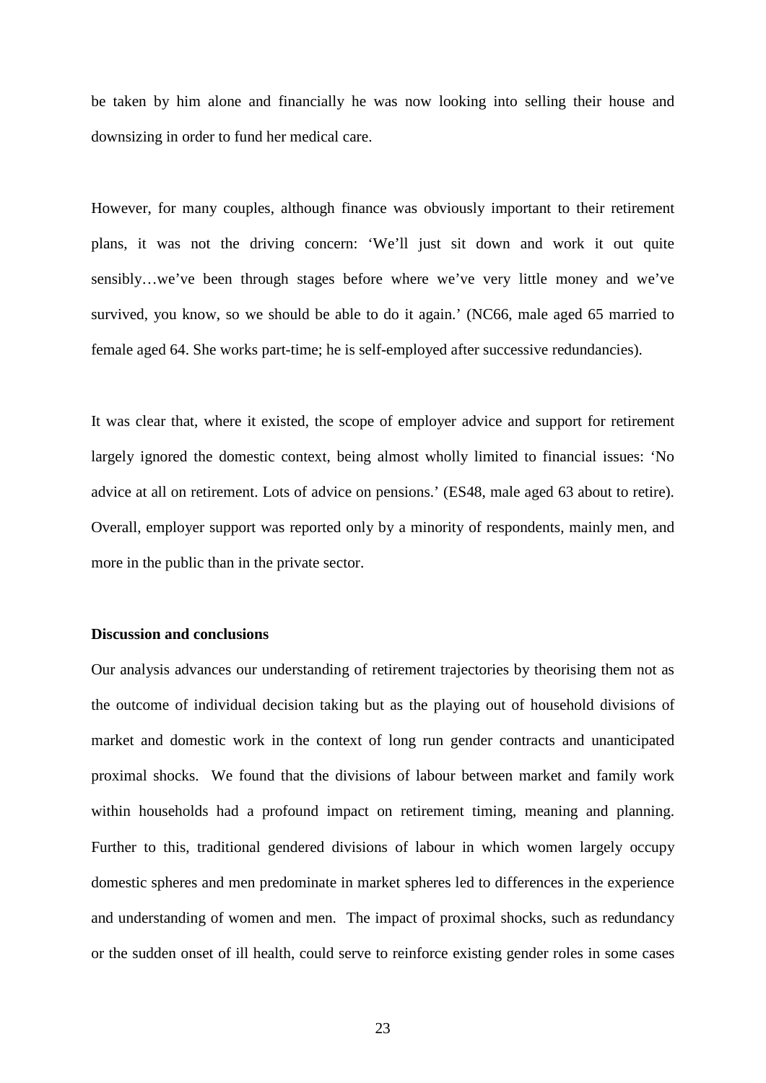be taken by him alone and financially he was now looking into selling their house and downsizing in order to fund her medical care.

However, for many couples, although finance was obviously important to their retirement plans, it was not the driving concern: 'We'll just sit down and work it out quite sensibly…we've been through stages before where we've very little money and we've survived, you know, so we should be able to do it again.' (NC66, male aged 65 married to female aged 64. She works part-time; he is self-employed after successive redundancies).

It was clear that, where it existed, the scope of employer advice and support for retirement largely ignored the domestic context, being almost wholly limited to financial issues: 'No advice at all on retirement. Lots of advice on pensions.' (ES48, male aged 63 about to retire). Overall, employer support was reported only by a minority of respondents, mainly men, and more in the public than in the private sector.

#### **Discussion and conclusions**

Our analysis advances our understanding of retirement trajectories by theorising them not as the outcome of individual decision taking but as the playing out of household divisions of market and domestic work in the context of long run gender contracts and unanticipated proximal shocks. We found that the divisions of labour between market and family work within households had a profound impact on retirement timing, meaning and planning. Further to this, traditional gendered divisions of labour in which women largely occupy domestic spheres and men predominate in market spheres led to differences in the experience and understanding of women and men. The impact of proximal shocks, such as redundancy or the sudden onset of ill health, could serve to reinforce existing gender roles in some cases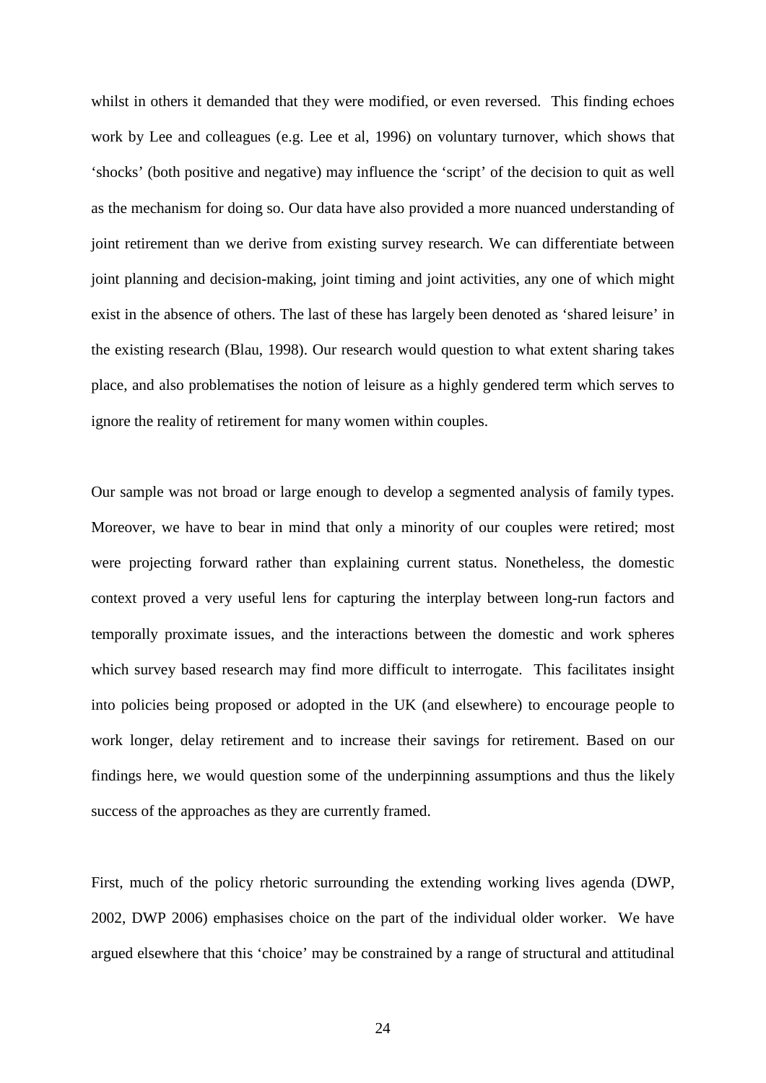whilst in others it demanded that they were modified, or even reversed. This finding echoes work by Lee and colleagues (e.g. Lee et al, 1996) on voluntary turnover, which shows that 'shocks' (both positive and negative) may influence the 'script' of the decision to quit as well as the mechanism for doing so. Our data have also provided a more nuanced understanding of joint retirement than we derive from existing survey research. We can differentiate between joint planning and decision-making, joint timing and joint activities, any one of which might exist in the absence of others. The last of these has largely been denoted as 'shared leisure' in the existing research (Blau, 1998). Our research would question to what extent sharing takes place, and also problematises the notion of leisure as a highly gendered term which serves to ignore the reality of retirement for many women within couples.

Our sample was not broad or large enough to develop a segmented analysis of family types. Moreover, we have to bear in mind that only a minority of our couples were retired; most were projecting forward rather than explaining current status. Nonetheless, the domestic context proved a very useful lens for capturing the interplay between long-run factors and temporally proximate issues, and the interactions between the domestic and work spheres which survey based research may find more difficult to interrogate. This facilitates insight into policies being proposed or adopted in the UK (and elsewhere) to encourage people to work longer, delay retirement and to increase their savings for retirement. Based on our findings here, we would question some of the underpinning assumptions and thus the likely success of the approaches as they are currently framed.

First, much of the policy rhetoric surrounding the extending working lives agenda (DWP, 2002, DWP 2006) emphasises choice on the part of the individual older worker. We have argued elsewhere that this 'choice' may be constrained by a range of structural and attitudinal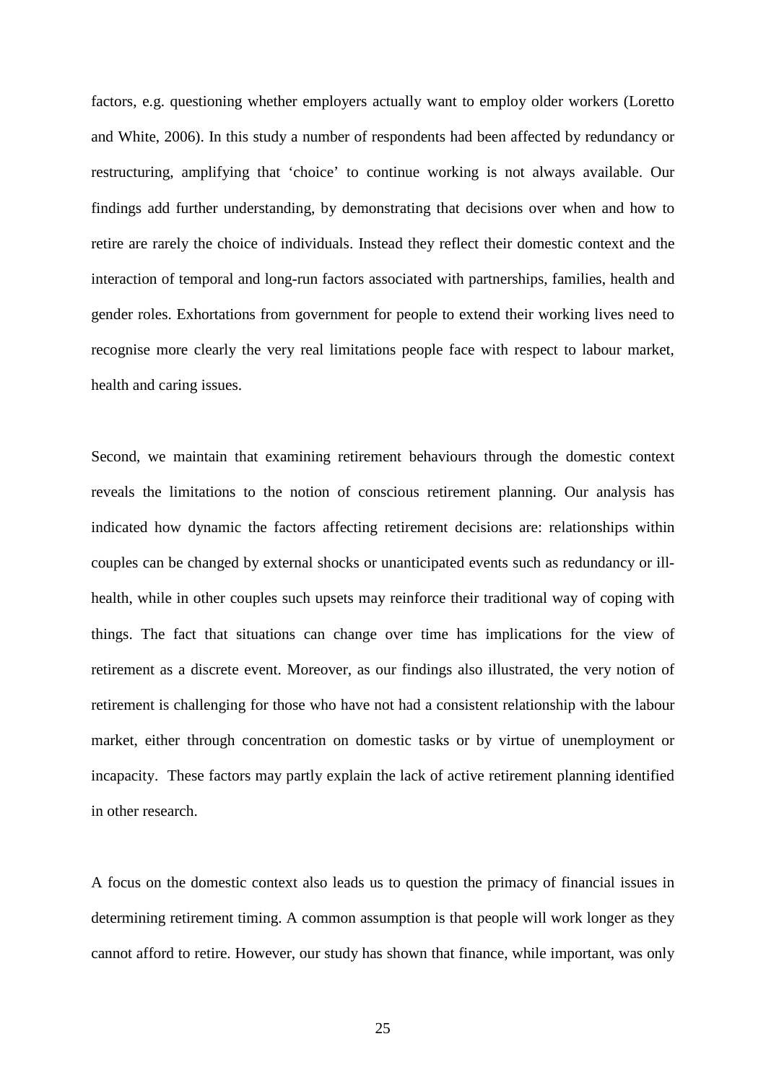factors, e.g. questioning whether employers actually want to employ older workers (Loretto and White, 2006). In this study a number of respondents had been affected by redundancy or restructuring, amplifying that 'choice' to continue working is not always available. Our findings add further understanding, by demonstrating that decisions over when and how to retire are rarely the choice of individuals. Instead they reflect their domestic context and the interaction of temporal and long-run factors associated with partnerships, families, health and gender roles. Exhortations from government for people to extend their working lives need to recognise more clearly the very real limitations people face with respect to labour market, health and caring issues.

Second, we maintain that examining retirement behaviours through the domestic context reveals the limitations to the notion of conscious retirement planning. Our analysis has indicated how dynamic the factors affecting retirement decisions are: relationships within couples can be changed by external shocks or unanticipated events such as redundancy or illhealth, while in other couples such upsets may reinforce their traditional way of coping with things. The fact that situations can change over time has implications for the view of retirement as a discrete event. Moreover, as our findings also illustrated, the very notion of retirement is challenging for those who have not had a consistent relationship with the labour market, either through concentration on domestic tasks or by virtue of unemployment or incapacity. These factors may partly explain the lack of active retirement planning identified in other research.

A focus on the domestic context also leads us to question the primacy of financial issues in determining retirement timing. A common assumption is that people will work longer as they cannot afford to retire. However, our study has shown that finance, while important, was only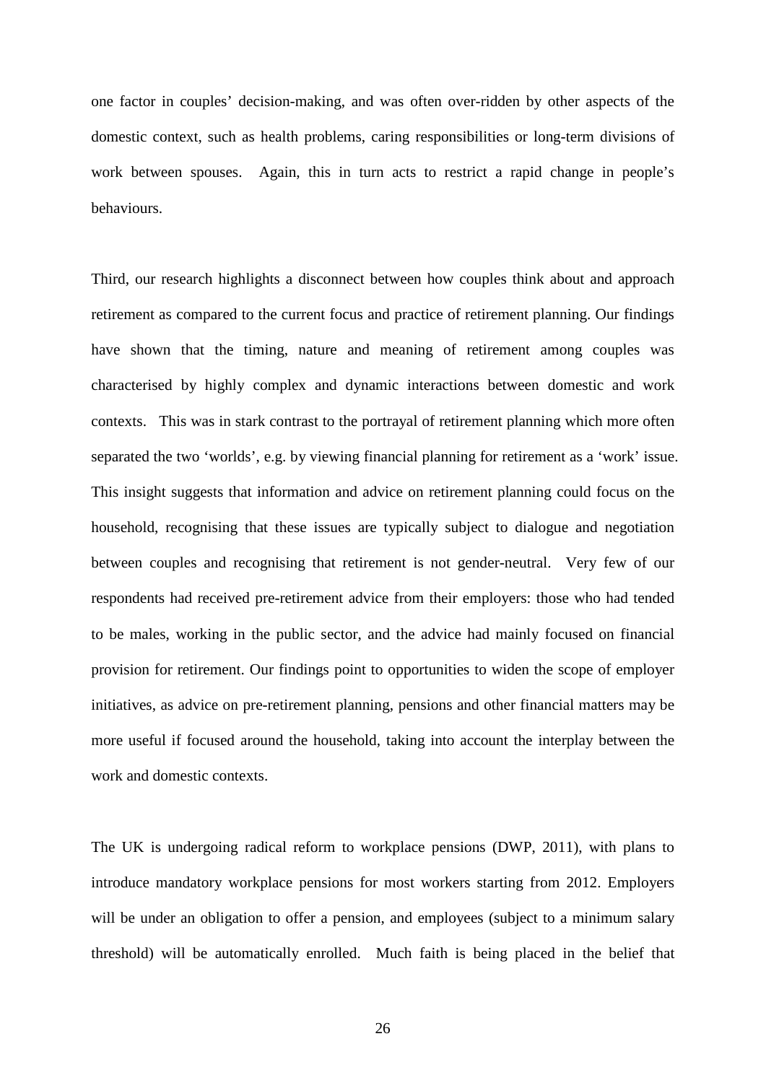one factor in couples' decision-making, and was often over-ridden by other aspects of the domestic context, such as health problems, caring responsibilities or long-term divisions of work between spouses. Again, this in turn acts to restrict a rapid change in people's behaviours.

Third, our research highlights a disconnect between how couples think about and approach retirement as compared to the current focus and practice of retirement planning. Our findings have shown that the timing, nature and meaning of retirement among couples was characterised by highly complex and dynamic interactions between domestic and work contexts. This was in stark contrast to the portrayal of retirement planning which more often separated the two 'worlds', e.g. by viewing financial planning for retirement as a 'work' issue. This insight suggests that information and advice on retirement planning could focus on the household, recognising that these issues are typically subject to dialogue and negotiation between couples and recognising that retirement is not gender-neutral. Very few of our respondents had received pre-retirement advice from their employers: those who had tended to be males, working in the public sector, and the advice had mainly focused on financial provision for retirement. Our findings point to opportunities to widen the scope of employer initiatives, as advice on pre-retirement planning, pensions and other financial matters may be more useful if focused around the household, taking into account the interplay between the work and domestic contexts.

The UK is undergoing radical reform to workplace pensions (DWP, 2011), with plans to introduce mandatory workplace pensions for most workers starting from 2012. Employers will be under an obligation to offer a pension, and employees (subject to a minimum salary threshold) will be automatically enrolled. Much faith is being placed in the belief that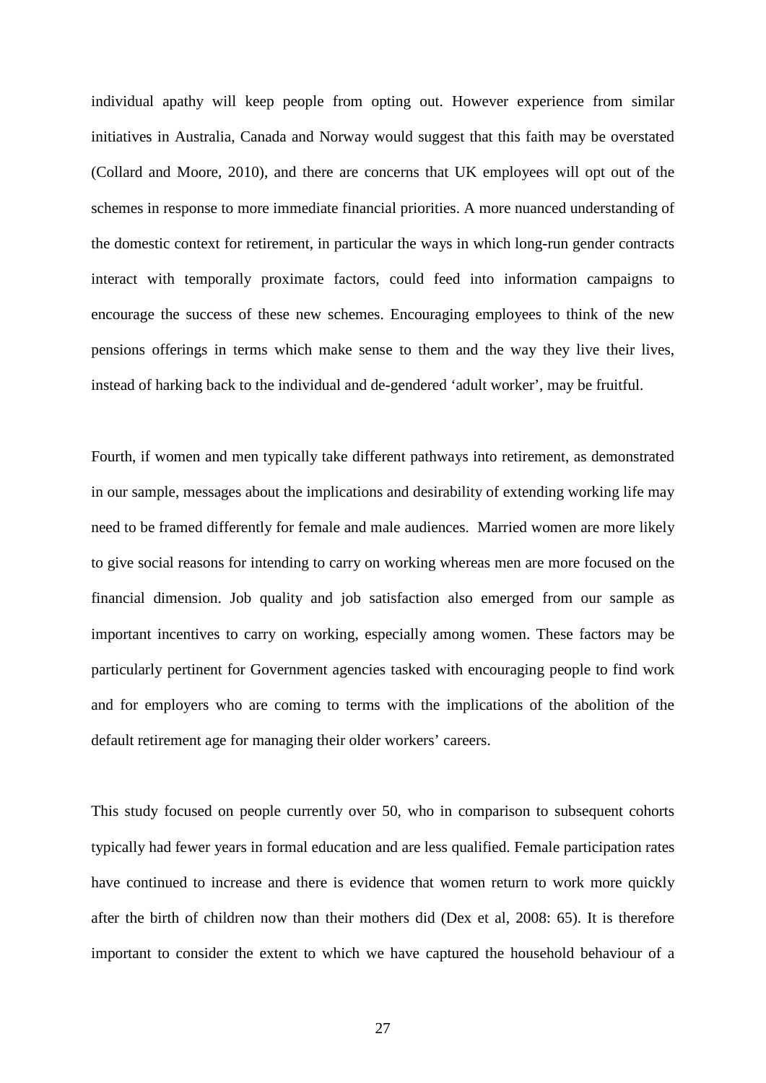individual apathy will keep people from opting out. However experience from similar initiatives in Australia, Canada and Norway would suggest that this faith may be overstated (Collard and Moore, 2010), and there are concerns that UK employees will opt out of the schemes in response to more immediate financial priorities. A more nuanced understanding of the domestic context for retirement, in particular the ways in which long-run gender contracts interact with temporally proximate factors, could feed into information campaigns to encourage the success of these new schemes. Encouraging employees to think of the new pensions offerings in terms which make sense to them and the way they live their lives, instead of harking back to the individual and de-gendered 'adult worker', may be fruitful.

Fourth, if women and men typically take different pathways into retirement, as demonstrated in our sample, messages about the implications and desirability of extending working life may need to be framed differently for female and male audiences. Married women are more likely to give social reasons for intending to carry on working whereas men are more focused on the financial dimension. Job quality and job satisfaction also emerged from our sample as important incentives to carry on working, especially among women. These factors may be particularly pertinent for Government agencies tasked with encouraging people to find work and for employers who are coming to terms with the implications of the abolition of the default retirement age for managing their older workers' careers.

This study focused on people currently over 50, who in comparison to subsequent cohorts typically had fewer years in formal education and are less qualified. Female participation rates have continued to increase and there is evidence that women return to work more quickly after the birth of children now than their mothers did (Dex et al, 2008: 65). It is therefore important to consider the extent to which we have captured the household behaviour of a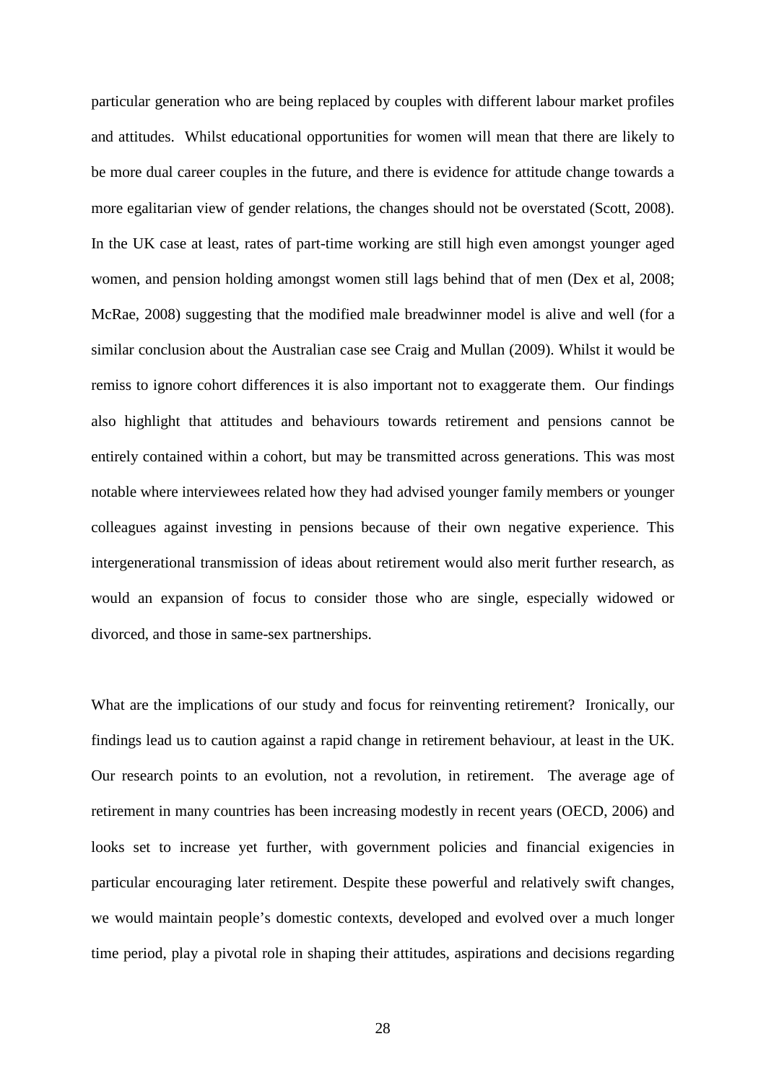particular generation who are being replaced by couples with different labour market profiles and attitudes. Whilst educational opportunities for women will mean that there are likely to be more dual career couples in the future, and there is evidence for attitude change towards a more egalitarian view of gender relations, the changes should not be overstated (Scott, 2008). In the UK case at least, rates of part-time working are still high even amongst younger aged women, and pension holding amongst women still lags behind that of men (Dex et al, 2008; McRae, 2008) suggesting that the modified male breadwinner model is alive and well (for a similar conclusion about the Australian case see Craig and Mullan (2009). Whilst it would be remiss to ignore cohort differences it is also important not to exaggerate them. Our findings also highlight that attitudes and behaviours towards retirement and pensions cannot be entirely contained within a cohort, but may be transmitted across generations. This was most notable where interviewees related how they had advised younger family members or younger colleagues against investing in pensions because of their own negative experience. This intergenerational transmission of ideas about retirement would also merit further research, as would an expansion of focus to consider those who are single, especially widowed or divorced, and those in same-sex partnerships.

What are the implications of our study and focus for reinventing retirement? Ironically, our findings lead us to caution against a rapid change in retirement behaviour, at least in the UK. Our research points to an evolution, not a revolution, in retirement. The average age of retirement in many countries has been increasing modestly in recent years (OECD, 2006) and looks set to increase yet further, with government policies and financial exigencies in particular encouraging later retirement. Despite these powerful and relatively swift changes, we would maintain people's domestic contexts, developed and evolved over a much longer time period, play a pivotal role in shaping their attitudes, aspirations and decisions regarding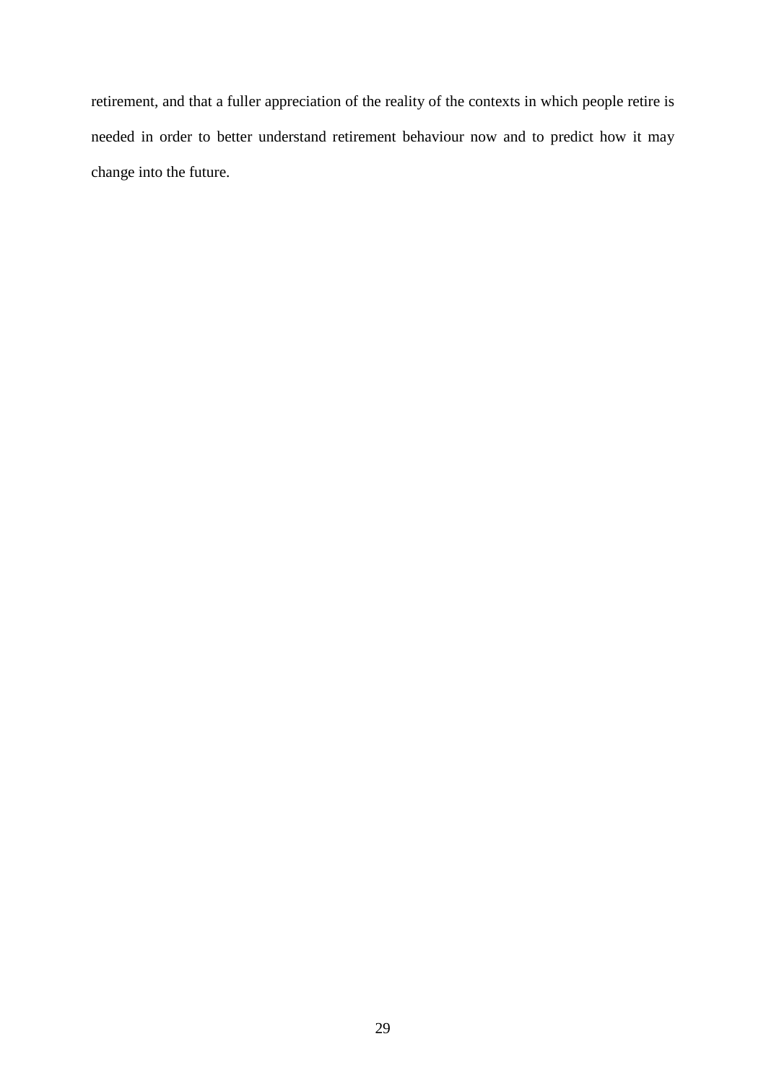retirement, and that a fuller appreciation of the reality of the contexts in which people retire is needed in order to better understand retirement behaviour now and to predict how it may change into the future.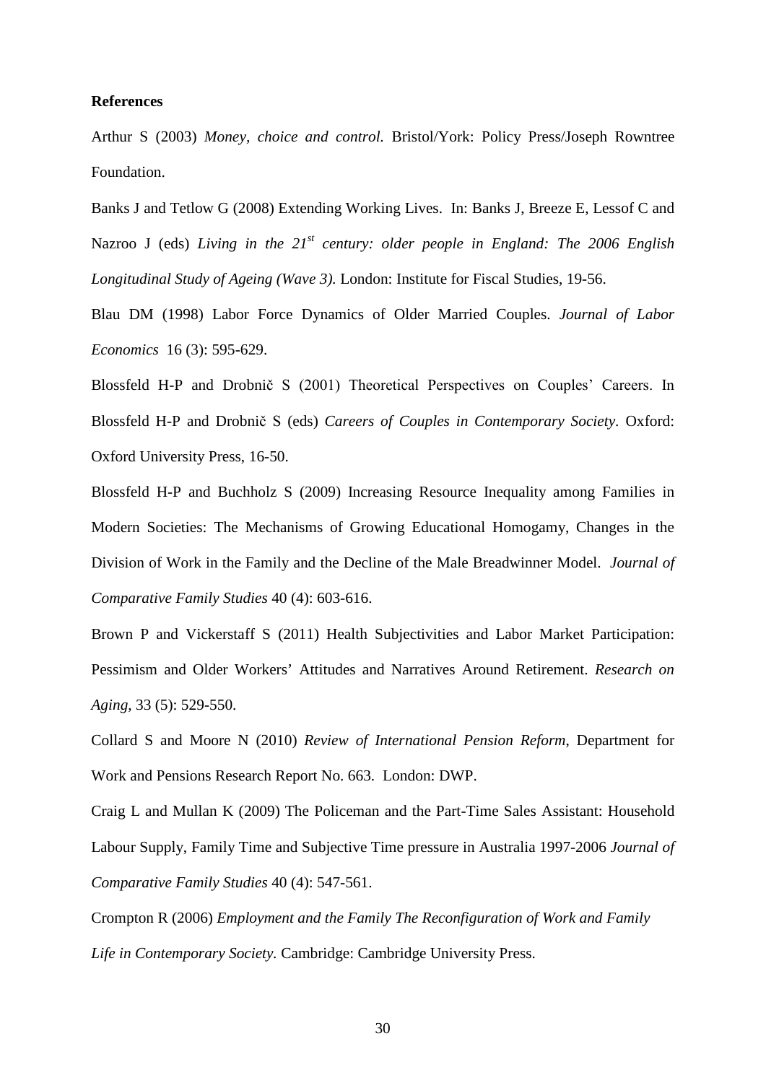#### **References**

Arthur S (2003) *Money, choice and control.* Bristol/York: Policy Press/Joseph Rowntree Foundation.

Banks J and Tetlow G (2008) Extending Working Lives. In: Banks J, Breeze E, Lessof C and Nazroo J (eds) *Living in the 21st century: older people in England: The 2006 English Longitudinal Study of Ageing (Wave 3).* London: Institute for Fiscal Studies, 19-56.

Blau DM (1998) Labor Force Dynamics of Older Married Couples. *Journal of Labor Economics* 16 (3): 595-629.

Blossfeld H-P and Drobnič S (2001) Theoretical Perspectives on Couples' Careers. In Blossfeld H-P and Drobnič S (eds) *Careers of Couples in Contemporary Society*. Oxford: Oxford University Press, 16-50.

Blossfeld H-P and Buchholz S (2009) Increasing Resource Inequality among Families in Modern Societies: The Mechanisms of Growing Educational Homogamy, Changes in the Division of Work in the Family and the Decline of the Male Breadwinner Model. *Journal of Comparative Family Studies* 40 (4): 603-616.

Brown P and Vickerstaff S (2011) Health Subjectivities and Labor Market Participation: Pessimism and Older Workers' Attitudes and Narratives Around Retirement. *Research on Aging*, 33 (5): 529-550.

Collard S and Moore N (2010) *Review of International Pension Reform*, Department for Work and Pensions Research Report No. 663. London: DWP.

Craig L and Mullan K (2009) The Policeman and the Part-Time Sales Assistant: Household Labour Supply, Family Time and Subjective Time pressure in Australia 1997-2006 *Journal of Comparative Family Studies* 40 (4): 547-561.

Crompton R (2006) *Employment and the Family The Reconfiguration of Work and Family Life in Contemporary Society.* Cambridge: Cambridge University Press.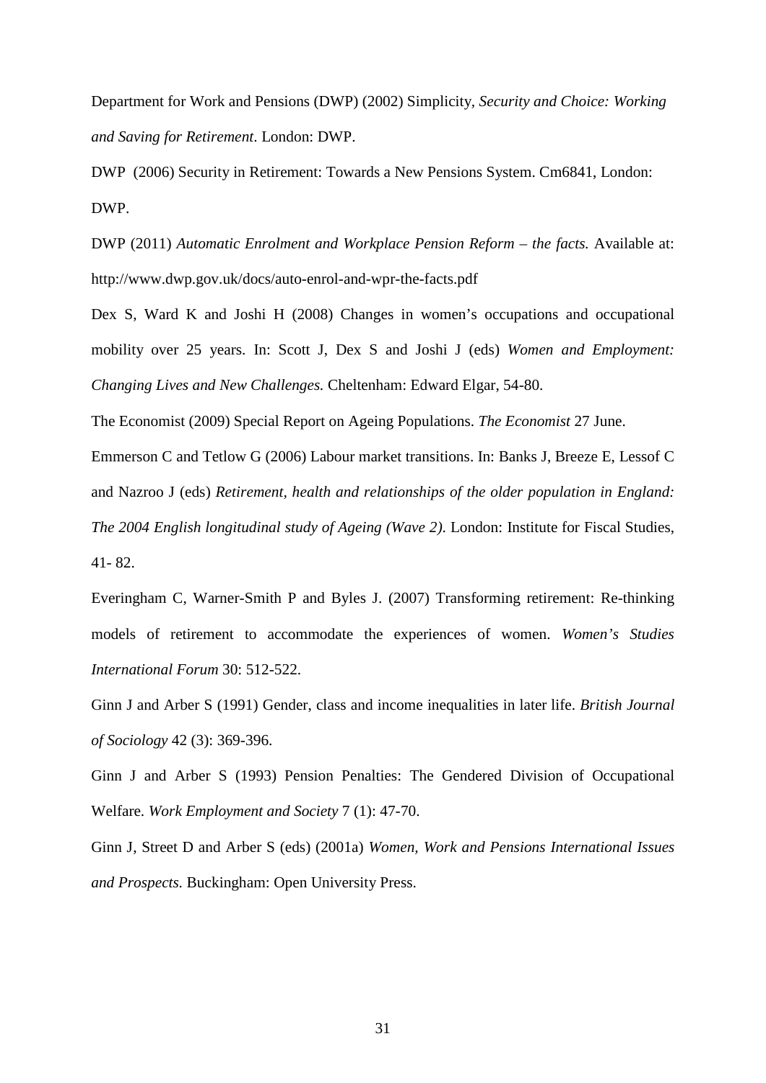Department for Work and Pensions (DWP) (2002) Simplicity*, Security and Choice: Working and Saving for Retirement*. London: DWP.

DWP (2006) Security in Retirement: Towards a New Pensions System. Cm6841, London: DWP.

DWP (2011) *Automatic Enrolment and Workplace Pension Reform – the facts.* Available at: http://www.dwp.gov.uk/docs/auto-enrol-and-wpr-the-facts.pdf

Dex S, Ward K and Joshi H (2008) Changes in women's occupations and occupational mobility over 25 years. In: Scott J, Dex S and Joshi J (eds) *Women and Employment: Changing Lives and New Challenges.* Cheltenham: Edward Elgar, 54-80.

The Economist (2009) Special Report on Ageing Populations. *The Economist* 27 June.

Emmerson C and Tetlow G (2006) Labour market transitions. In: Banks J, Breeze E, Lessof C and Nazroo J (eds) *Retirement, health and relationships of the older population in England:* 

*The 2004 English longitudinal study of Ageing (Wave 2)*. London: Institute for Fiscal Studies, 41- 82.

Everingham C, Warner-Smith P and Byles J. (2007) Transforming retirement: Re-thinking models of retirement to accommodate the experiences of women. *Women's Studies International Forum* 30: 512-522.

Ginn J and Arber S (1991) Gender, class and income inequalities in later life. *British Journal of Sociology* 42 (3): 369-396.

Ginn J and Arber S (1993) Pension Penalties: The Gendered Division of Occupational Welfare. *Work Employment and Society* 7 (1): 47-70.

Ginn J, Street D and Arber S (eds) (2001a) *Women, Work and Pensions International Issues and Prospects.* Buckingham: Open University Press.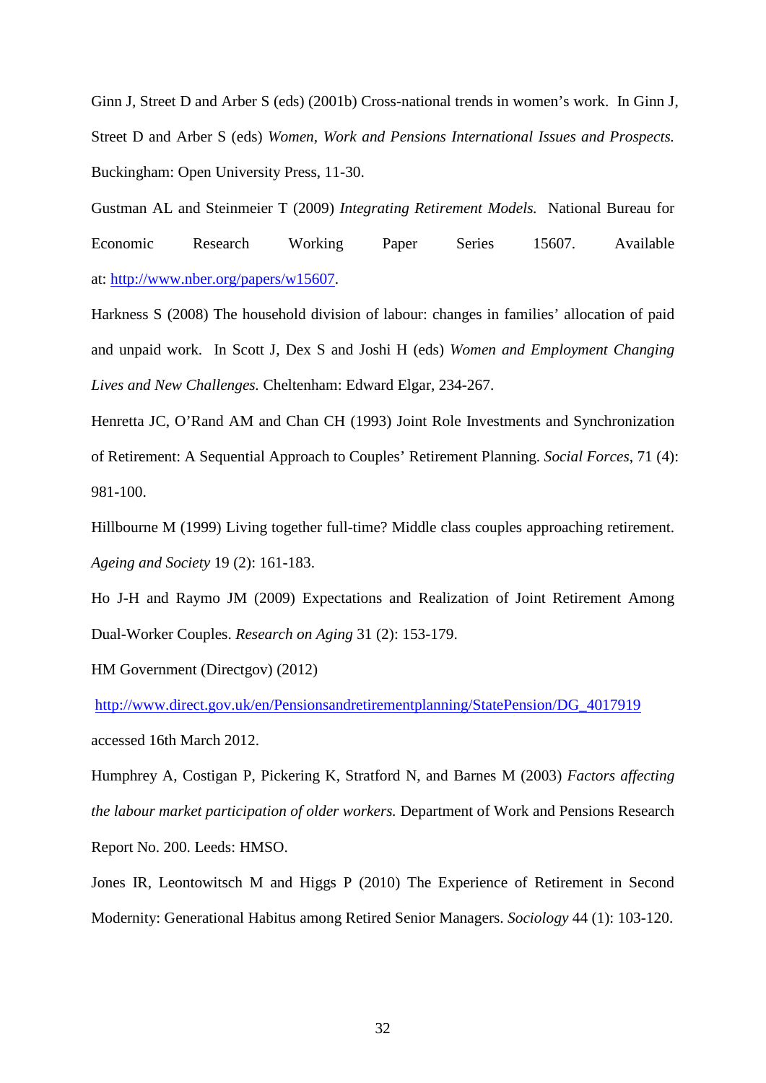Ginn J, Street D and Arber S (eds) (2001b) Cross-national trends in women's work. In Ginn J, Street D and Arber S (eds) *Women, Work and Pensions International Issues and Prospects.* Buckingham: Open University Press, 11-30.

Gustman AL and Steinmeier T (2009) *Integrating Retirement Models.* National Bureau for Economic Research Working Paper Series 15607. Available at: [http://www.nber.org/papers/w15607.](http://www.nber.org/papers/w15607)

Harkness S (2008) The household division of labour: changes in families' allocation of paid and unpaid work. In Scott J, Dex S and Joshi H (eds) *Women and Employment Changing Lives and New Challenges.* Cheltenham: Edward Elgar, 234-267.

Henretta JC, O'Rand AM and Chan CH (1993) Joint Role Investments and Synchronization of Retirement: A Sequential Approach to Couples' Retirement Planning. *Social Forces*, 71 (4): 981-100.

Hillbourne M (1999) Living together full-time? Middle class couples approaching retirement. *Ageing and Society* 19 (2): 161-183.

Ho J-H and Raymo JM (2009) Expectations and Realization of Joint Retirement Among Dual-Worker Couples. *Research on Aging* 31 (2): 153-179.

HM Government (Directgov) (2012)

[http://www.direct.gov.uk/en/Pensionsandretirementplanning/StatePension/DG\\_4017919](http://www.direct.gov.uk/en/Pensionsandretirementplanning/StatePension/DG_4017919) accessed 16th March 2012.

Humphrey A, Costigan P, Pickering K, Stratford N, and Barnes M (2003) *Factors affecting the labour market participation of older workers.* Department of Work and Pensions Research Report No. 200. Leeds: HMSO.

Jones IR, Leontowitsch M and Higgs P (2010) The Experience of Retirement in Second Modernity: Generational Habitus among Retired Senior Managers. *Sociology* 44 (1): 103-120.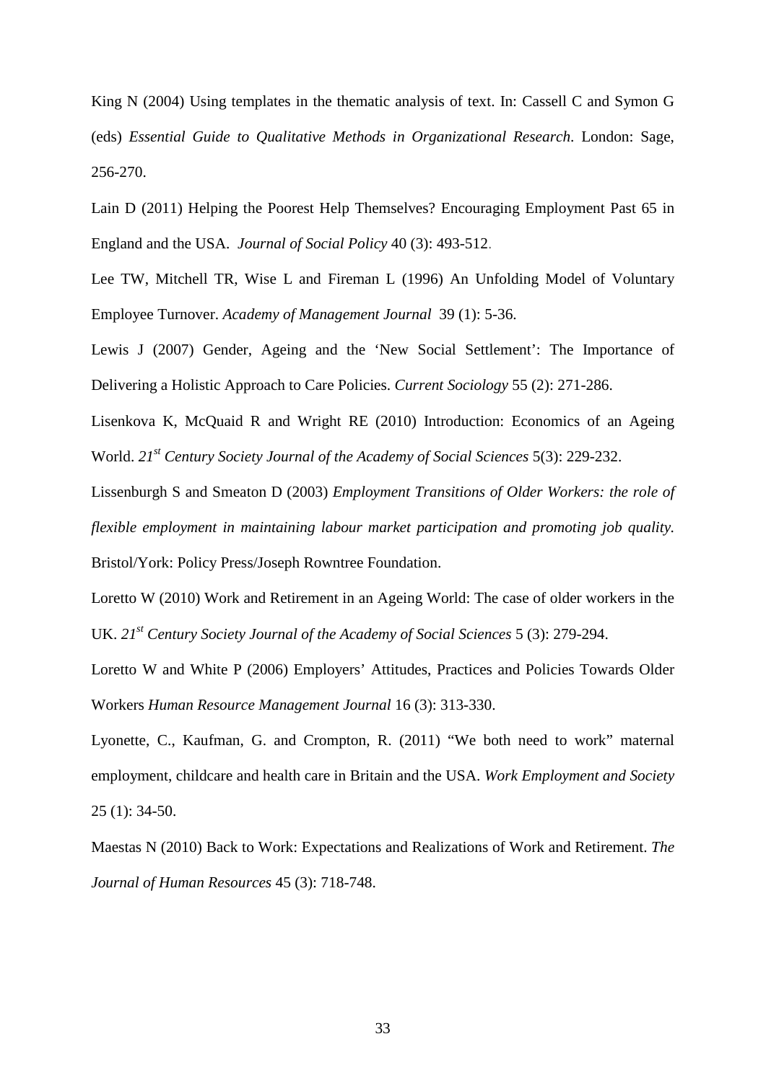King N (2004) Using templates in the thematic analysis of text. In: Cassell C and Symon G (eds) *Essential Guide to Qualitative Methods in Organizational Research*. London: Sage, 256-270.

Lain D (2011) Helping the Poorest Help Themselves? Encouraging Employment Past 65 in England and the USA. *Journal of Social Policy* 40 (3): 493-512.

Lee TW, Mitchell TR, Wise L and Fireman L (1996) An Unfolding Model of Voluntary Employee Turnover. *Academy of Management Journal* 39 (1): 5-36.

Lewis J (2007) Gender, Ageing and the 'New Social Settlement': The Importance of Delivering a Holistic Approach to Care Policies. *Current Sociology* 55 (2): 271-286.

Lisenkova K, McQuaid R and Wright RE (2010) Introduction: Economics of an Ageing World. *21st Century Society Journal of the Academy of Social Sciences* 5(3): 229-232.

Lissenburgh S and Smeaton D (2003) *Employment Transitions of Older Workers: the role of flexible employment in maintaining labour market participation and promoting job quality.* Bristol/York: Policy Press/Joseph Rowntree Foundation.

Loretto W (2010) Work and Retirement in an Ageing World: The case of older workers in the UK. *21st Century Society Journal of the Academy of Social Sciences* 5 (3): 279-294.

Loretto W and White P (2006) Employers' Attitudes, Practices and Policies Towards Older Workers *Human Resource Management Journal* 16 (3): 313-330.

Lyonette, C., Kaufman, G. and Crompton, R. (2011) "We both need to work" maternal employment, childcare and health care in Britain and the USA. *Work Employment and Society* 25 (1): 34-50.

Maestas N (2010) Back to Work: Expectations and Realizations of Work and Retirement. *The Journal of Human Resources* 45 (3): 718-748.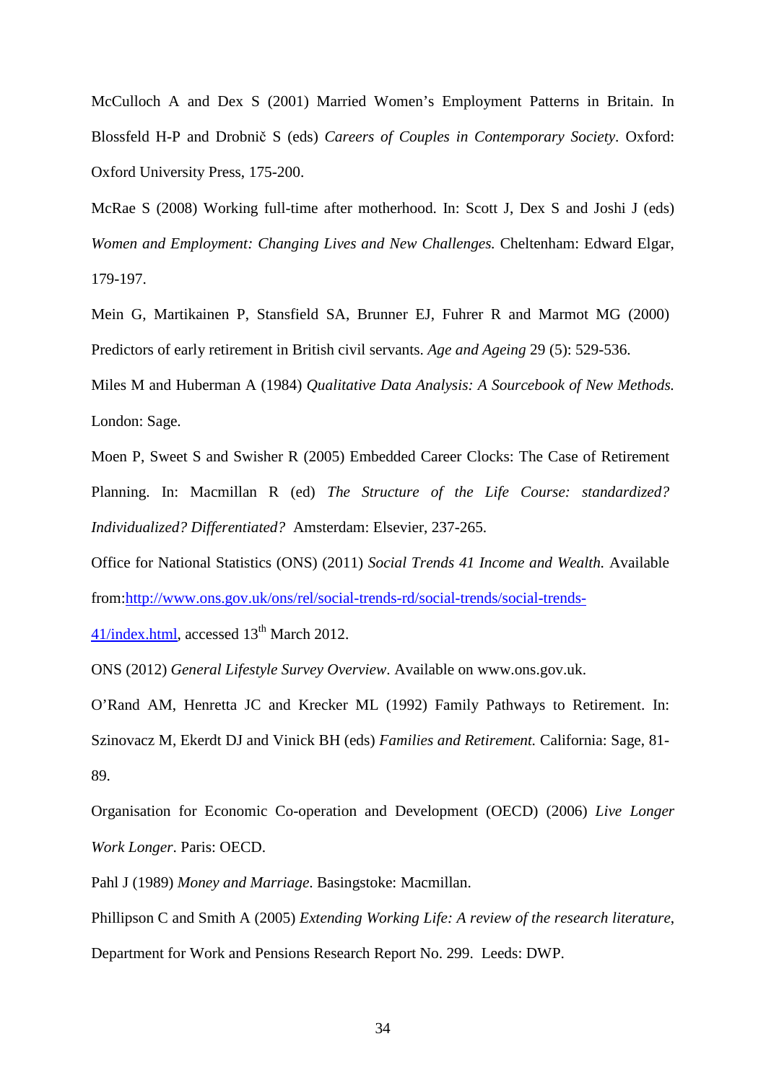McCulloch A and Dex S (2001) Married Women's Employment Patterns in Britain. In Blossfeld H-P and Drobnič S (eds) *Careers of Couples in Contemporary Society*. Oxford: Oxford University Press, 175-200.

McRae S (2008) Working full-time after motherhood. In: Scott J, Dex S and Joshi J (eds) *Women and Employment: Changing Lives and New Challenges.* Cheltenham: Edward Elgar, 179-197.

Mein G, Martikainen P, Stansfield SA, Brunner EJ, Fuhrer R and Marmot MG (2000) Predictors of early retirement in British civil servants. *Age and Ageing* 29 (5): 529-536.

Miles M and Huberman A (1984) *Qualitative Data Analysis: A Sourcebook of New Methods.* London: Sage.

Moen P, Sweet S and Swisher R (2005) Embedded Career Clocks: The Case of Retirement Planning. In: Macmillan R (ed) *The Structure of the Life Course: standardized? Individualized? Differentiated?* Amsterdam: Elsevier, 237-265.

Office for National Statistics (ONS) (2011) *Social Trends 41 Income and Wealth.* Available from[:http://www.ons.gov.uk/ons/rel/social-trends-rd/social-trends/social-trends-](http://www.ons.gov.uk/ons/rel/social-trends-rd/social-trends/social-trends-41/index.html)

 $41/index.html$ , accessed  $13<sup>th</sup> March 2012$ .

ONS (2012) *General Lifestyle Survey Overview*. Available on www.ons.gov.uk.

O'Rand AM, Henretta JC and Krecker ML (1992) Family Pathways to Retirement. In: Szinovacz M, Ekerdt DJ and Vinick BH (eds) *Families and Retirement.* California: Sage, 81- 89.

Organisation for Economic Co-operation and Development (OECD) (2006) *Live Longer Work Longer*. Paris: OECD.

Pahl J (1989) *Money and Marriage*. Basingstoke: Macmillan.

Phillipson C and Smith A (2005) *Extending Working Life: A review of the research literature*, Department for Work and Pensions Research Report No. 299. Leeds: DWP.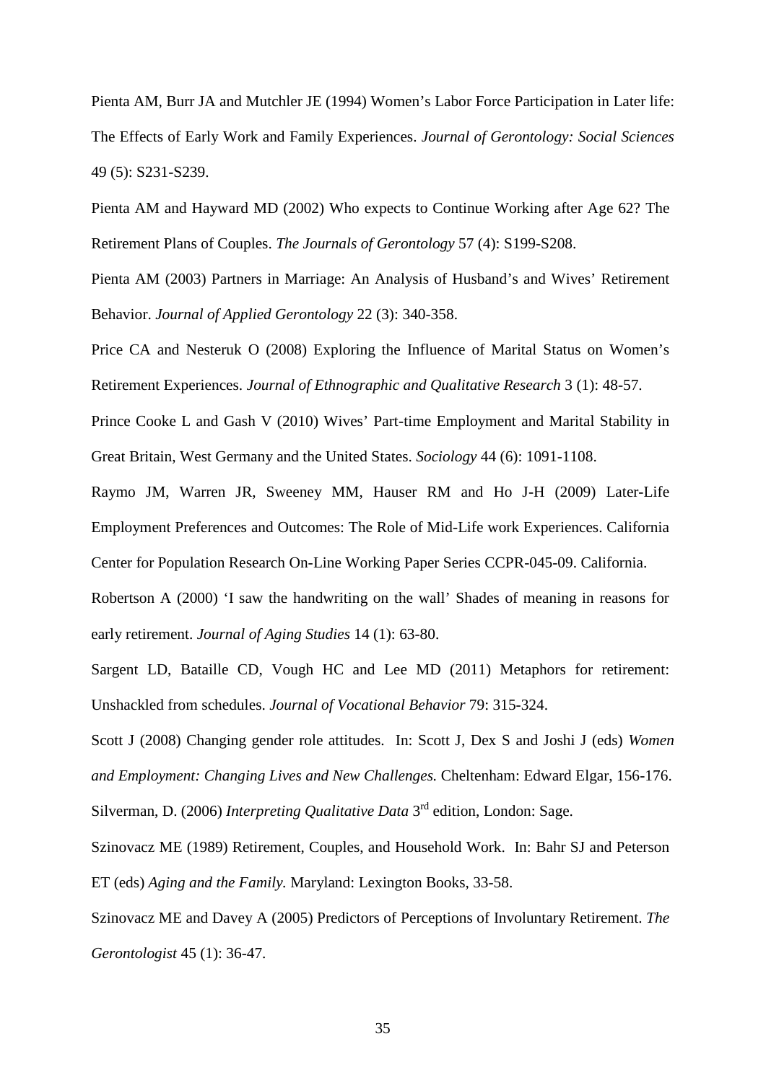Pienta AM, Burr JA and Mutchler JE (1994) Women's Labor Force Participation in Later life: The Effects of Early Work and Family Experiences. *Journal of Gerontology: Social Sciences* 49 (5): S231-S239.

Pienta AM and Hayward MD (2002) Who expects to Continue Working after Age 62? The Retirement Plans of Couples. *The Journals of Gerontology* 57 (4): S199-S208.

Pienta AM (2003) Partners in Marriage: An Analysis of Husband's and Wives' Retirement Behavior. *Journal of Applied Gerontology* 22 (3): 340-358.

Price CA and Nesteruk O (2008) Exploring the Influence of Marital Status on Women's Retirement Experiences. *Journal of Ethnographic and Qualitative Research* 3 (1): 48-57.

Prince Cooke L and Gash V (2010) Wives' Part-time Employment and Marital Stability in Great Britain, West Germany and the United States. *Sociology* 44 (6): 1091-1108.

Raymo JM, Warren JR, Sweeney MM, Hauser RM and Ho J-H (2009) Later-Life Employment Preferences and Outcomes: The Role of Mid-Life work Experiences. California Center for Population Research On-Line Working Paper Series CCPR-045-09. California.

Robertson A (2000) 'I saw the handwriting on the wall' Shades of meaning in reasons for early retirement. *Journal of Aging Studies* 14 (1): 63-80.

Sargent LD, Bataille CD, Vough HC and Lee MD (2011) Metaphors for retirement: Unshackled from schedules. *Journal of Vocational Behavior* 79: 315-324.

Scott J (2008) Changing gender role attitudes. In: Scott J, Dex S and Joshi J (eds) *Women and Employment: Changing Lives and New Challenges.* Cheltenham: Edward Elgar, 156-176. Silverman, D. (2006) *Interpreting Qualitative Data* 3rd edition, London: Sage.

Szinovacz ME (1989) Retirement, Couples, and Household Work. In: Bahr SJ and Peterson ET (eds) *Aging and the Family.* Maryland: Lexington Books, 33-58.

Szinovacz ME and Davey A (2005) Predictors of Perceptions of Involuntary Retirement. *The Gerontologist* 45 (1): 36-47.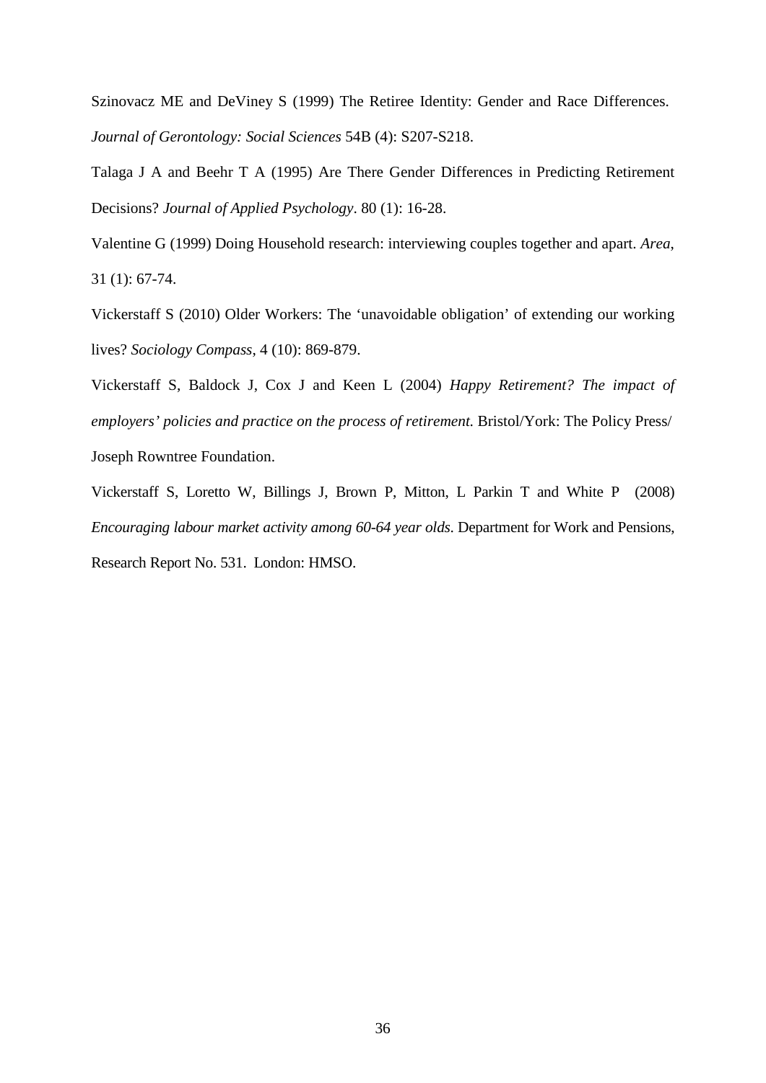Szinovacz ME and DeViney S (1999) The Retiree Identity: Gender and Race Differences. *Journal of Gerontology: Social Sciences* 54B (4): S207-S218.

Talaga J A and Beehr T A (1995) Are There Gender Differences in Predicting Retirement Decisions? *Journal of Applied Psychology*. 80 (1): 16-28.

Valentine G (1999) Doing Household research: interviewing couples together and apart. *Area*, 31 (1): 67-74.

Vickerstaff S (2010) Older Workers: The 'unavoidable obligation' of extending our working lives? *Sociology Compass*, 4 (10): 869-879.

Vickerstaff S, Baldock J, Cox J and Keen L (2004) *Happy Retirement? The impact of employers' policies and practice on the process of retirement.* Bristol/York: The Policy Press/ Joseph Rowntree Foundation.

Vickerstaff S, Loretto W, Billings J, Brown P, Mitton, L Parkin T and White P (2008) *Encouraging labour market activity among 60-64 year olds*. Department for Work and Pensions, Research Report No. 531. London: HMSO.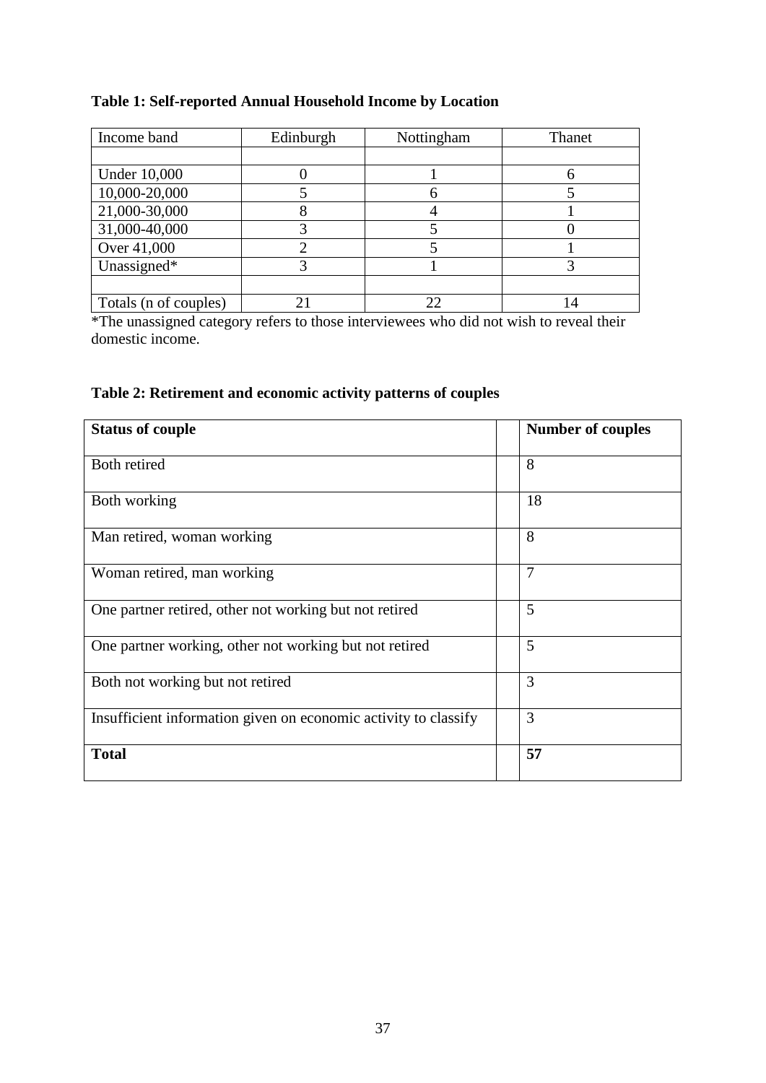## **Table 1: Self-reported Annual Household Income by Location**

| Income band           | Edinburgh | Nottingham | Thanet |
|-----------------------|-----------|------------|--------|
|                       |           |            |        |
| <b>Under 10,000</b>   |           |            |        |
| 10,000-20,000         |           | h          |        |
| 21,000-30,000         |           |            |        |
| 31,000-40,000         |           |            |        |
| Over 41,000           |           |            |        |
| Unassigned*           |           |            |        |
|                       |           |            |        |
| Totals (n of couples) |           | 22         |        |

\*The unassigned category refers to those interviewees who did not wish to reveal their domestic income.

## **Table 2: Retirement and economic activity patterns of couples**

| <b>Status of couple</b>                                         |  | <b>Number of couples</b> |
|-----------------------------------------------------------------|--|--------------------------|
| Both retired                                                    |  | 8                        |
| Both working                                                    |  | 18                       |
| Man retired, woman working                                      |  | 8                        |
| Woman retired, man working                                      |  | $\overline{7}$           |
| One partner retired, other not working but not retired          |  | 5                        |
| One partner working, other not working but not retired          |  | 5                        |
| Both not working but not retired                                |  | 3                        |
| Insufficient information given on economic activity to classify |  | 3                        |
| <b>Total</b>                                                    |  | 57                       |